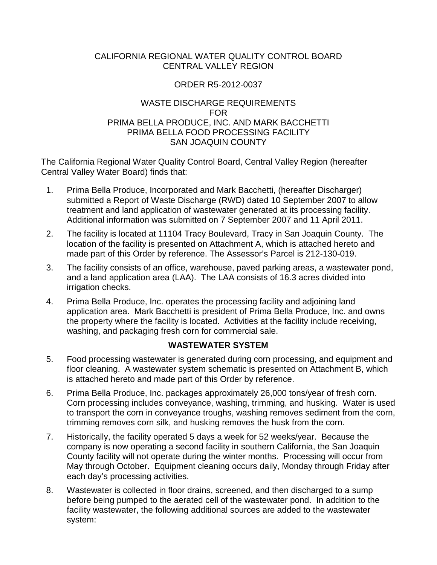### CALIFORNIA REGIONAL WATER QUALITY CONTROL BOARD CENTRAL VALLEY REGION

## ORDER R5-2012-0037

## WASTE DISCHARGE REQUIREMENTS FOR PRIMA BELLA PRODUCE, INC. AND MARK BACCHETTI PRIMA BELLA FOOD PROCESSING FACILITY SAN JOAQUIN COUNTY

The California Regional Water Quality Control Board, Central Valley Region (hereafter Central Valley Water Board) finds that:

- 1. Prima Bella Produce, Incorporated and Mark Bacchetti, (hereafter Discharger) submitted a Report of Waste Discharge (RWD) dated 10 September 2007 to allow treatment and land application of wastewater generated at its processing facility. Additional information was submitted on 7 September 2007 and 11 April 2011.
- 2. The facility is located at 11104 Tracy Boulevard, Tracy in San Joaquin County. The location of the facility is presented on Attachment A, which is attached hereto and made part of this Order by reference. The Assessor's Parcel is 212-130-019.
- 3. The facility consists of an office, warehouse, paved parking areas, a wastewater pond, and a land application area (LAA). The LAA consists of 16.3 acres divided into irrigation checks.
- 4. Prima Bella Produce, Inc. operates the processing facility and adjoining land application area. Mark Bacchetti is president of Prima Bella Produce, Inc. and owns the property where the facility is located. Activities at the facility include receiving, washing, and packaging fresh corn for commercial sale.

## **WASTEWATER SYSTEM**

- 5. Food processing wastewater is generated during corn processing, and equipment and floor cleaning. A wastewater system schematic is presented on Attachment B, which is attached hereto and made part of this Order by reference.
- 6. Prima Bella Produce, Inc. packages approximately 26,000 tons/year of fresh corn. Corn processing includes conveyance, washing, trimming, and husking. Water is used to transport the corn in conveyance troughs, washing removes sediment from the corn, trimming removes corn silk, and husking removes the husk from the corn.
- 7. Historically, the facility operated 5 days a week for 52 weeks/year. Because the company is now operating a second facility in southern California, the San Joaquin County facility will not operate during the winter months. Processing will occur from May through October. Equipment cleaning occurs daily, Monday through Friday after each day's processing activities.
- <span id="page-0-0"></span>8. Wastewater is collected in floor drains, screened, and then discharged to a sump before being pumped to the aerated cell of the wastewater pond. In addition to the facility wastewater, the following additional sources are added to the wastewater system: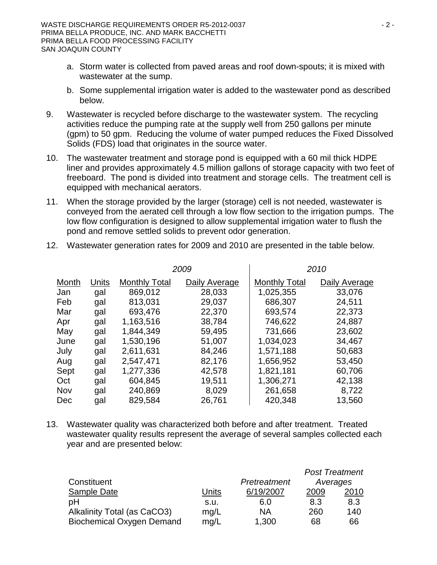- a. Storm water is collected from paved areas and roof down-spouts; it is mixed with wastewater at the sump.
- b. Some supplemental irrigation water is added to the wastewater pond as described below.
- 9. Wastewater is recycled before discharge to the wastewater system. The recycling activities reduce the pumping rate at the supply well from 250 gallons per minute (gpm) to 50 gpm. Reducing the volume of water pumped reduces the Fixed Dissolved Solids (FDS) load that originates in the source water.
- 10. The wastewater treatment and storage pond is equipped with a 60 mil thick HDPE liner and provides approximately 4.5 million gallons of storage capacity with two feet of freeboard. The pond is divided into treatment and storage cells. The treatment cell is equipped with mechanical aerators.
- 11. When the storage provided by the larger (storage) cell is not needed, wastewater is conveyed from the aerated cell through a low flow section to the irrigation pumps. The low flow configuration is designed to allow supplemental irrigation water to flush the pond and remove settled solids to prevent odor generation.

|       |       | 2009                 |               |                      | 2010          |
|-------|-------|----------------------|---------------|----------------------|---------------|
| Month | Units | <b>Monthly Total</b> | Daily Average | <b>Monthly Total</b> | Daily Average |
| Jan   | gal   | 869,012              | 28,033        | 1,025,355            | 33,076        |
| Feb   | gal   | 813,031              | 29,037        | 686,307              | 24,511        |
| Mar   | gal   | 693,476              | 22,370        | 693,574              | 22,373        |
| Apr   | gal   | 1,163,516            | 38,784        | 746,622              | 24,887        |
| May   | gal   | 1,844,349            | 59,495        | 731,666              | 23,602        |
| June  | gal   | 1,530,196            | 51,007        | 1,034,023            | 34,467        |
| July  | gal   | 2,611,631            | 84,246        | 1,571,188            | 50,683        |
| Aug   | gal   | 2,547,471            | 82,176        | 1,656,952            | 53,450        |
| Sept  | gal   | 1,277,336            | 42,578        | 1,821,181            | 60,706        |
| Oct   | gal   | 604,845              | 19,511        | 1,306,271            | 42,138        |
| Nov   | gal   | 240,869              | 8,029         | 261,658              | 8,722         |
| Dec   | gal   | 829,584              | 26,761        | 420,348              | 13,560        |

12. Wastewater generation rates for 2009 and 2010 are presented in the table below.

13. Wastewater quality was characterized both before and after treatment. Treated wastewater quality results represent the average of several samples collected each year and are presented below:

|                                  |       |              |          | <b>Post Treatment</b> |
|----------------------------------|-------|--------------|----------|-----------------------|
| Constituent                      |       | Pretreatment | Averages |                       |
| Sample Date                      | Units | 6/19/2007    | 2009     | 2010                  |
| pH                               | S.U.  | 6.0          | 8.3      | 8.3                   |
| Alkalinity Total (as CaCO3)      | mq/L  | ΝA           | 260      | 140                   |
| <b>Biochemical Oxygen Demand</b> | mq/L  | 1,300        | 68       | 66                    |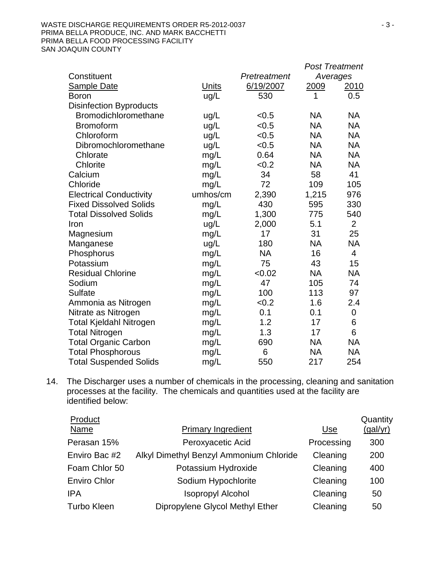|                                |              |              | <b>Post Treatment</b> |                |
|--------------------------------|--------------|--------------|-----------------------|----------------|
| Constituent                    |              | Pretreatment | Averages              |                |
| <b>Sample Date</b>             | <b>Units</b> | 6/19/2007    | 2009                  | 2010           |
| <b>Boron</b>                   | ug/L         | 530          | 1                     | 0.5            |
| <b>Disinfection Byproducts</b> |              |              |                       |                |
| Bromodichloromethane           | ug/L         | < 0.5        | <b>NA</b>             | <b>NA</b>      |
| <b>Bromoform</b>               | ug/L         | < 0.5        | <b>NA</b>             | <b>NA</b>      |
| Chloroform                     | ug/L         | < 0.5        | <b>NA</b>             | <b>NA</b>      |
| Dibromochloromethane           | ug/L         | < 0.5        | <b>NA</b>             | <b>NA</b>      |
| Chlorate                       | mg/L         | 0.64         | <b>NA</b>             | <b>NA</b>      |
| Chlorite                       | mg/L         | < 0.2        | NA                    | <b>NA</b>      |
| Calcium                        | mg/L         | 34           | 58                    | 41             |
| Chloride                       | mg/L         | 72           | 109                   | 105            |
| <b>Electrical Conductivity</b> | umhos/cm     | 2,390        | 1,215                 | 976            |
| <b>Fixed Dissolved Solids</b>  | mg/L         | 430          | 595                   | 330            |
| <b>Total Dissolved Solids</b>  | mg/L         | 1,300        | 775                   | 540            |
| Iron                           | ug/L         | 2,000        | 5.1                   | $\overline{2}$ |
| Magnesium                      | mg/L         | 17           | 31                    | 25             |
| Manganese                      | ug/L         | 180          | NA                    | <b>NA</b>      |
| Phosphorus                     | mg/L         | <b>NA</b>    | 16                    | $\overline{4}$ |
| Potassium                      | mg/L         | 75           | 43                    | 15             |
| <b>Residual Chlorine</b>       | mg/L         | <0.02        | <b>NA</b>             | <b>NA</b>      |
| Sodium                         | mg/L         | 47           | 105                   | 74             |
| <b>Sulfate</b>                 | mg/L         | 100          | 113                   | 97             |
| Ammonia as Nitrogen            | mg/L         | < 0.2        | 1.6                   | 2.4            |
| Nitrate as Nitrogen            | mg/L         | 0.1          | 0.1                   | 0              |
| <b>Total Kjeldahl Nitrogen</b> | mg/L         | 1.2          | 17                    | 6              |
| <b>Total Nitrogen</b>          | mg/L         | 1.3          | 17                    | 6              |
| <b>Total Organic Carbon</b>    | mg/L         | 690          | <b>NA</b>             | <b>NA</b>      |
| <b>Total Phosphorous</b>       | mg/L         | 6            | <b>NA</b>             | <b>NA</b>      |
| <b>Total Suspended Solids</b>  | mg/L         | 550          | 217                   | 254            |

14. The Discharger uses a number of chemicals in the processing, cleaning and sanitation processes at the facility. The chemicals and quantities used at the facility are identified below:

| Product             |                                         |            | Quantity |
|---------------------|-----------------------------------------|------------|----------|
| Name                | <b>Primary Ingredient</b>               | <u>Use</u> | (gal/yr) |
| Perasan 15%         | Peroxyacetic Acid                       | Processing | 300      |
| Enviro Bac #2       | Alkyl Dimethyl Benzyl Ammonium Chloride | Cleaning   | 200      |
| Foam Chlor 50       | Potassium Hydroxide                     | Cleaning   | 400      |
| <b>Enviro Chlor</b> | Sodium Hypochlorite                     | Cleaning   | 100      |
| <b>IPA</b>          | <b>Isopropyl Alcohol</b>                | Cleaning   | 50       |
| <b>Turbo Kleen</b>  | Dipropylene Glycol Methyl Ether         | Cleaning   | 50       |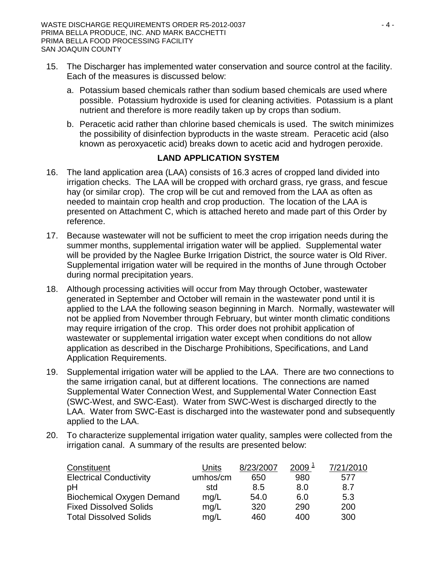- 15. The Discharger has implemented water conservation and source control at the facility. Each of the measures is discussed below:
	- a. Potassium based chemicals rather than sodium based chemicals are used where possible. Potassium hydroxide is used for cleaning activities. Potassium is a plant nutrient and therefore is more readily taken up by crops than sodium.
	- b. Peracetic acid rather than chlorine based chemicals is used. The switch minimizes the possibility of disinfection byproducts in the waste stream. Peracetic acid (also known as peroxyacetic acid) breaks down to acetic acid and hydrogen peroxide.

## **LAND APPLICATION SYSTEM**

- 16. The land application area (LAA) consists of 16.3 acres of cropped land divided into irrigation checks. The LAA will be cropped with orchard grass, rye grass, and fescue hay (or similar crop). The crop will be cut and removed from the LAA as often as needed to maintain crop health and crop production. The location of the LAA is presented on Attachment C, which is attached hereto and made part of this Order by reference.
- 17. Because wastewater will not be sufficient to meet the crop irrigation needs during the summer months, supplemental irrigation water will be applied. Supplemental water will be provided by the Naglee Burke Irrigation District, the source water is Old River. Supplemental irrigation water will be required in the months of June through October during normal precipitation years.
- 18. Although processing activities will occur from May through October, wastewater generated in September and October will remain in the wastewater pond until it is applied to the LAA the following season beginning in March. Normally, wastewater will not be applied from November through February, but winter month climatic conditions may require irrigation of the crop. This order does not prohibit application of wastewater or supplemental irrigation water except when conditions do not allow application as described in the Discharge Prohibitions, Specifications, and Land Application Requirements.
- 19. Supplemental irrigation water will be applied to the LAA. There are two connections to the same irrigation canal, but at different locations. The connections are named Supplemental Water Connection West, and Supplemental Water Connection East (SWC-West, and SWC-East). Water from SWC-West is discharged directly to the LAA. Water from SWC-East is discharged into the wastewater pond and subsequently applied to the LAA.
- 20. To characterize supplemental irrigation water quality, samples were collected from the irrigation canal. A summary of the results are presented below:

| Constituent                      | Units    | 8/23/2007 | $2009^{\frac{1}{2}}$ | 7/21/2010 |
|----------------------------------|----------|-----------|----------------------|-----------|
| <b>Electrical Conductivity</b>   | umhos/cm | 650       | 980                  | 577       |
| pH                               | std      | 8.5       | 8.0                  | 8.7       |
| <b>Biochemical Oxygen Demand</b> | mq/L     | 54.0      | 6.0                  | 5.3       |
| <b>Fixed Dissolved Solids</b>    | mq/L     | 320       | 290                  | 200       |
| <b>Total Dissolved Solids</b>    | mq/L     | 460       | 400                  | 300       |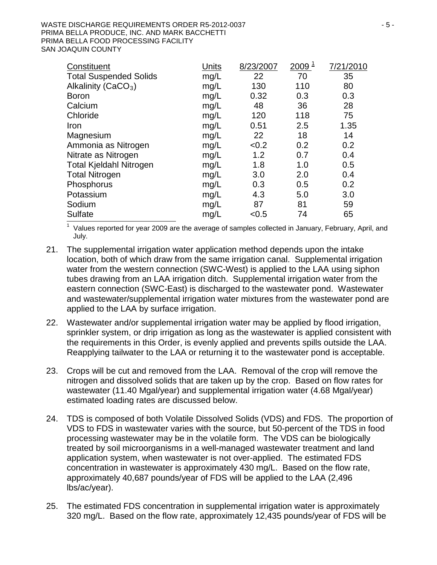| Constituent                    | Units | 8/23/2007 | $\frac{2009}{1}$ | 7/21/2010 |
|--------------------------------|-------|-----------|------------------|-----------|
| <b>Total Suspended Solids</b>  | mg/L  | 22        | 70               | 35        |
| Alkalinity ( $CaCO3$ )         | mg/L  | 130       | 110              | 80        |
| <b>Boron</b>                   | mg/L  | 0.32      | 0.3              | 0.3       |
| Calcium                        | mg/L  | 48        | 36               | 28        |
| Chloride                       | mg/L  | 120       | 118              | 75        |
| Iron                           | mg/L  | 0.51      | 2.5              | 1.35      |
| Magnesium                      | mg/L  | 22        | 18               | 14        |
| Ammonia as Nitrogen            | mg/L  | < 0.2     | 0.2              | 0.2       |
| Nitrate as Nitrogen            | mg/L  | 1.2       | 0.7              | 0.4       |
| <b>Total Kjeldahl Nitrogen</b> | mg/L  | 1.8       | 1.0              | 0.5       |
| <b>Total Nitrogen</b>          | mg/L  | 3.0       | 2.0              | 0.4       |
| Phosphorus                     | mg/L  | 0.3       | 0.5              | 0.2       |
| Potassium                      | mg/L  | 4.3       | 5.0              | 3.0       |
| Sodium                         | mg/L  | 87        | 81               | 59        |
| <b>Sulfate</b>                 | mg/L  | < 0.5     | 74               | 65        |

<sup>1</sup> Values reported for year 2009 are the average of samples collected in January, February, April, and July.

- 21. The supplemental irrigation water application method depends upon the intake location, both of which draw from the same irrigation canal. Supplemental irrigation water from the western connection (SWC-West) is applied to the LAA using siphon tubes drawing from an LAA irrigation ditch. Supplemental irrigation water from the eastern connection (SWC-East) is discharged to the wastewater pond. Wastewater and wastewater/supplemental irrigation water mixtures from the wastewater pond are applied to the LAA by surface irrigation.
- 22. Wastewater and/or supplemental irrigation water may be applied by flood irrigation, sprinkler system, or drip irrigation as long as the wastewater is applied consistent with the requirements in this Order, is evenly applied and prevents spills outside the LAA. Reapplying tailwater to the LAA or returning it to the wastewater pond is acceptable.
- 23. Crops will be cut and removed from the LAA. Removal of the crop will remove the nitrogen and dissolved solids that are taken up by the crop. Based on flow rates for wastewater (11.40 Mgal/year) and supplemental irrigation water (4.68 Mgal/year) estimated loading rates are discussed below.
- 24. TDS is composed of both Volatile Dissolved Solids (VDS) and FDS. The proportion of VDS to FDS in wastewater varies with the source, but 50-percent of the TDS in food processing wastewater may be in the volatile form. The VDS can be biologically treated by soil microorganisms in a well-managed wastewater treatment and land application system, when wastewater is not over-applied. The estimated FDS concentration in wastewater is approximately 430 mg/L. Based on the flow rate, approximately 40,687 pounds/year of FDS will be applied to the LAA (2,496 lbs/ac/year).
- 25. The estimated FDS concentration in supplemental irrigation water is approximately 320 mg/L. Based on the flow rate, approximately 12,435 pounds/year of FDS will be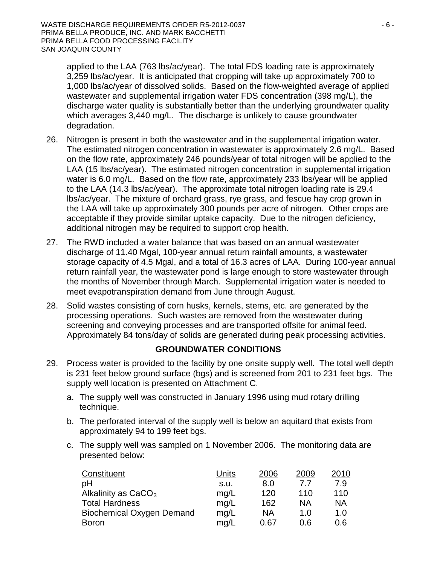applied to the LAA (763 lbs/ac/year). The total FDS loading rate is approximately 3,259 lbs/ac/year. It is anticipated that cropping will take up approximately 700 to 1,000 lbs/ac/year of dissolved solids. Based on the flow-weighted average of applied wastewater and supplemental irrigation water FDS concentration (398 mg/L), the discharge water quality is substantially better than the underlying groundwater quality which averages 3,440 mg/L. The discharge is unlikely to cause groundwater degradation.

- 26. Nitrogen is present in both the wastewater and in the supplemental irrigation water. The estimated nitrogen concentration in wastewater is approximately 2.6 mg/L. Based on the flow rate, approximately 246 pounds/year of total nitrogen will be applied to the LAA (15 lbs/ac/year). The estimated nitrogen concentration in supplemental irrigation water is 6.0 mg/L. Based on the flow rate, approximately 233 lbs/year will be applied to the LAA (14.3 lbs/ac/year). The approximate total nitrogen loading rate is 29.4 lbs/ac/year. The mixture of orchard grass, rye grass, and fescue hay crop grown in the LAA will take up approximately 300 pounds per acre of nitrogen. Other crops are acceptable if they provide similar uptake capacity. Due to the nitrogen deficiency, additional nitrogen may be required to support crop health.
- 27. The RWD included a water balance that was based on an annual wastewater discharge of 11.40 Mgal, 100-year annual return rainfall amounts, a wastewater storage capacity of 4.5 Mgal, and a total of 16.3 acres of LAA. During 100-year annual return rainfall year, the wastewater pond is large enough to store wastewater through the months of November through March. Supplemental irrigation water is needed to meet evapotranspiration demand from June through August.
- 28. Solid wastes consisting of corn husks, kernels, stems, etc. are generated by the processing operations. Such wastes are removed from the wastewater during screening and conveying processes and are transported offsite for animal feed. Approximately 84 tons/day of solids are generated during peak processing activities.

## **GROUNDWATER CONDITIONS**

- 29. Process water is provided to the facility by one onsite supply well. The total well depth is 231 feet below ground surface (bgs) and is screened from 201 to 231 feet bgs. The supply well location is presented on Attachment C.
	- a. The supply well was constructed in January 1996 using mud rotary drilling technique.
	- b. The perforated interval of the supply well is below an aquitard that exists from approximately 94 to 199 feet bgs.
	- c. The supply well was sampled on 1 November 2006. The monitoring data are presented below:

| Constituent                      | Units | 2006 | 2009      | 2010      |
|----------------------------------|-------|------|-----------|-----------|
| pH                               | s.u.  | 8.0  | 77        | 7.9       |
| Alkalinity as $CaCO3$            | mq/L  | 120  | 110       | 110       |
| <b>Total Hardness</b>            | mq/L  | 162  | <b>NA</b> | <b>NA</b> |
| <b>Biochemical Oxygen Demand</b> | mq/L  | ΝA   | 1.0       | 1.0       |
| <b>Boron</b>                     | mq/L  | 0.67 | 0.6       | 0.6       |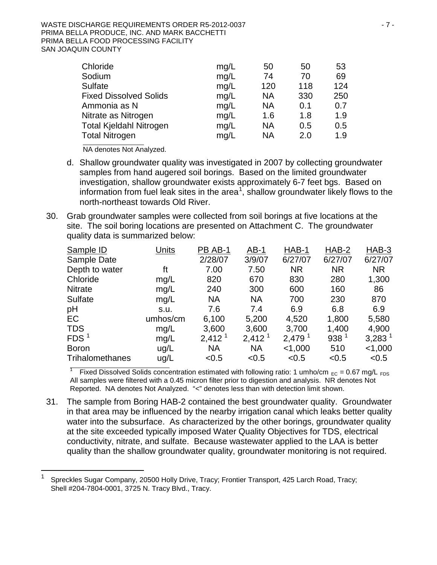#### WASTE DISCHARGE REQUIREMENTS ORDER R5-2012-0037 And the contract of the contract of the contract of the contract of the contract of the contract of the contract of the contract of the contract of the contract of the contra PRIMA BELLA PRODUCE, INC. AND MARK BACCHETTI PRIMA BELLA FOOD PROCESSING FACILITY SAN JOAQUIN COUNTY

| Chloride                       | mg/L | 50  | 50  | 53  |
|--------------------------------|------|-----|-----|-----|
| Sodium                         | mg/L | 74  | 70  | 69  |
| <b>Sulfate</b>                 | mg/L | 120 | 118 | 124 |
| <b>Fixed Dissolved Solids</b>  | mg/L | NA  | 330 | 250 |
| Ammonia as N                   | mg/L | ΝA  | 0.1 | 0.7 |
| Nitrate as Nitrogen            | mg/L | 1.6 | 1.8 | 1.9 |
| <b>Total Kjeldahl Nitrogen</b> | mg/L | NA  | 0.5 | 0.5 |
| <b>Total Nitrogen</b>          | mg/L | NA  | 2.0 | 1.9 |
|                                |      |     |     |     |

NA denotes Not Analyzed.

- d. Shallow groundwater quality was investigated in 2007 by collecting groundwater samples from hand augered soil borings. Based on the limited groundwater investigation, shallow groundwater exists approximately 6-7 feet bgs. Based on information from fuel leak sites in the area<sup>[1](#page-0-0)</sup>, shallow groundwater likely flows to the north-northeast towards Old River.
- 30. Grab groundwater samples were collected from soil borings at five locations at the site. The soil boring locations are presented on Attachment C. The groundwater quality data is summarized below:

| Units    | PB AB-1            | $AB-1$             | HAB-1              | HAB-2            | HAB-3                |
|----------|--------------------|--------------------|--------------------|------------------|----------------------|
|          | 2/28/07            | 3/9/07             | 6/27/07            | 6/27/07          | 6/27/07              |
| ft       | 7.00               | 7.50               | <b>NR</b>          | <b>NR</b>        | <b>NR</b>            |
| mg/L     | 820                | 670                | 830                | 280              | 1,300                |
| mg/L     | 240                | 300                | 600                | 160              | 86                   |
| mg/L     | <b>NA</b>          | <b>NA</b>          | 700                | 230              | 870                  |
| s.u.     | 7.6                | 7.4                | 6.9                | 6.8              | 6.9                  |
| umhos/cm | 6,100              | 5,200              | 4,520              | 1,800            | 5,580                |
| mg/L     | 3,600              | 3,600              | 3,700              | 1,400            | 4,900                |
| mg/L     | 2,412 <sup>1</sup> | 2,412 <sup>1</sup> | 2,479 <sup>1</sup> | 938 <sup>1</sup> | $3,283$ <sup>1</sup> |
| ug/L     | <b>NA</b>          | <b>NA</b>          | < 1,000            | 510              | $<$ 1,000            |
| ug/L     | < 0.5              | < 0.5              | < 0.5              | < 0.5            | < 0.5                |
|          |                    |                    |                    |                  |                      |

<sup>1</sup> Fixed Dissolved Solids concentration estimated with following ratio: 1 umho/cm  $_{EC}$  = 0.67 mg/L  $_{FDS}$ All samples were filtered with a 0.45 micron filter prior to digestion and analysis. NR denotes Not Reported. NA denotes Not Analyzed. "<" denotes less than with detection limit shown.

31. The sample from Boring HAB-2 contained the best groundwater quality. Groundwater in that area may be influenced by the nearby irrigation canal which leaks better quality water into the subsurface. As characterized by the other borings, groundwater quality at the site exceeded typically imposed Water Quality Objectives for TDS, electrical conductivity, nitrate, and sulfate. Because wastewater applied to the LAA is better quality than the shallow groundwater quality, groundwater monitoring is not required.

 <sup>1</sup> Spreckles Sugar Company, 20500 Holly Drive, Tracy; Frontier Transport, 425 Larch Road, Tracy; Shell #204-7804-0001, 3725 N. Tracy Blvd., Tracy.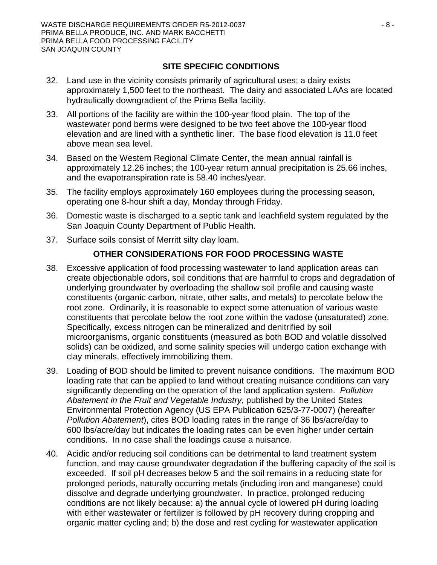## **SITE SPECIFIC CONDITIONS**

- 32. Land use in the vicinity consists primarily of agricultural uses; a dairy exists approximately 1,500 feet to the northeast. The dairy and associated LAAs are located hydraulically downgradient of the Prima Bella facility.
- 33. All portions of the facility are within the 100-year flood plain. The top of the wastewater pond berms were designed to be two feet above the 100-year flood elevation and are lined with a synthetic liner. The base flood elevation is 11.0 feet above mean sea level.
- 34. Based on the Western Regional Climate Center, the mean annual rainfall is approximately 12.26 inches; the 100-year return annual precipitation is 25.66 inches, and the evapotranspiration rate is 58.40 inches/year.
- 35. The facility employs approximately 160 employees during the processing season, operating one 8-hour shift a day, Monday through Friday.
- 36. Domestic waste is discharged to a septic tank and leachfield system regulated by the San Joaquin County Department of Public Health.
- 37. Surface soils consist of Merritt silty clay loam.

## **OTHER CONSIDERATIONS FOR FOOD PROCESSING WASTE**

- 38. Excessive application of food processing wastewater to land application areas can create objectionable odors, soil conditions that are harmful to crops and degradation of underlying groundwater by overloading the shallow soil profile and causing waste constituents (organic carbon, nitrate, other salts, and metals) to percolate below the root zone. Ordinarily, it is reasonable to expect some attenuation of various waste constituents that percolate below the root zone within the vadose (unsaturated) zone. Specifically, excess nitrogen can be mineralized and denitrified by soil microorganisms, organic constituents (measured as both BOD and volatile dissolved solids) can be oxidized, and some salinity species will undergo cation exchange with clay minerals, effectively immobilizing them.
- 39. Loading of BOD should be limited to prevent nuisance conditions. The maximum BOD loading rate that can be applied to land without creating nuisance conditions can vary significantly depending on the operation of the land application system. *Pollution Abatement in the Fruit and Vegetable Industry*, published by the United States Environmental Protection Agency (US EPA Publication 625/3-77-0007) (hereafter *Pollution Abatement*), cites BOD loading rates in the range of 36 lbs/acre/day to 600 lbs/acre/day but indicates the loading rates can be even higher under certain conditions. In no case shall the loadings cause a nuisance.
- 40. Acidic and/or reducing soil conditions can be detrimental to land treatment system function, and may cause groundwater degradation if the buffering capacity of the soil is exceeded. If soil pH decreases below 5 and the soil remains in a reducing state for prolonged periods, naturally occurring metals (including iron and manganese) could dissolve and degrade underlying groundwater. In practice, prolonged reducing conditions are not likely because: a) the annual cycle of lowered pH during loading with either wastewater or fertilizer is followed by pH recovery during cropping and organic matter cycling and; b) the dose and rest cycling for wastewater application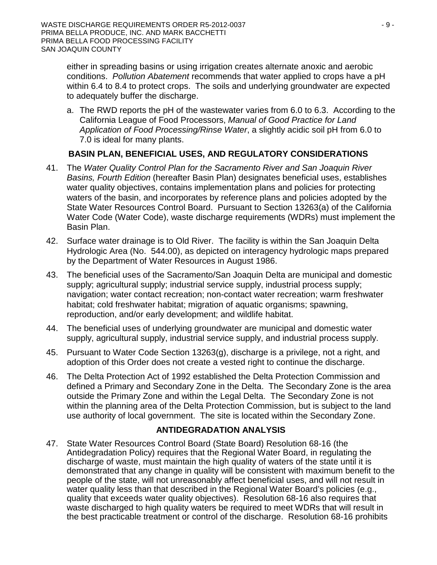either in spreading basins or using irrigation creates alternate anoxic and aerobic conditions. *Pollution Abatement* recommends that water applied to crops have a pH within 6.4 to 8.4 to protect crops. The soils and underlying groundwater are expected to adequately buffer the discharge.

a. The RWD reports the pH of the wastewater varies from 6.0 to 6.3. According to the California League of Food Processors, *Manual of Good Practice for Land Application of Food Processing/Rinse Water*, a slightly acidic soil pH from 6.0 to 7.0 is ideal for many plants.

## **BASIN PLAN, BENEFICIAL USES, AND REGULATORY CONSIDERATIONS**

- 41. The *Water Quality Control Plan for the Sacramento River and San Joaquin River Basins, Fourth Edition* (hereafter Basin Plan) designates beneficial uses, establishes water quality objectives, contains implementation plans and policies for protecting waters of the basin, and incorporates by reference plans and policies adopted by the State Water Resources Control Board. Pursuant to Section 13263(a) of the California Water Code (Water Code), waste discharge requirements (WDRs) must implement the Basin Plan.
- 42. Surface water drainage is to Old River. The facility is within the San Joaquin Delta Hydrologic Area (No. 544.00), as depicted on interagency hydrologic maps prepared by the Department of Water Resources in August 1986.
- 43. The beneficial uses of the Sacramento/San Joaquin Delta are municipal and domestic supply; agricultural supply; industrial service supply, industrial process supply; navigation; water contact recreation; non-contact water recreation; warm freshwater habitat; cold freshwater habitat; migration of aquatic organisms; spawning, reproduction, and/or early development; and wildlife habitat.
- 44. The beneficial uses of underlying groundwater are municipal and domestic water supply, agricultural supply, industrial service supply, and industrial process supply.
- 45. Pursuant to Water Code Section 13263(g), discharge is a privilege, not a right, and adoption of this Order does not create a vested right to continue the discharge.
- 46. The Delta Protection Act of 1992 established the Delta Protection Commission and defined a Primary and Secondary Zone in the Delta. The Secondary Zone is the area outside the Primary Zone and within the Legal Delta. The Secondary Zone is not within the planning area of the Delta Protection Commission, but is subject to the land use authority of local government. The site is located within the Secondary Zone.

### **ANTIDEGRADATION ANALYSIS**

47. State Water Resources Control Board (State Board) Resolution 68-16 (the Antidegradation Policy) requires that the Regional Water Board, in regulating the discharge of waste, must maintain the high quality of waters of the state until it is demonstrated that any change in quality will be consistent with maximum benefit to the people of the state, will not unreasonably affect beneficial uses, and will not result in water quality less than that described in the Regional Water Board's policies (e.g., quality that exceeds water quality objectives). Resolution 68-16 also requires that waste discharged to high quality waters be required to meet WDRs that will result in the best practicable treatment or control of the discharge. Resolution 68-16 prohibits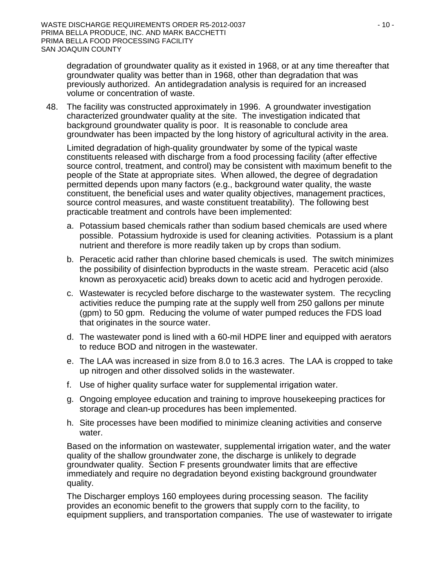degradation of groundwater quality as it existed in 1968, or at any time thereafter that groundwater quality was better than in 1968, other than degradation that was previously authorized. An antidegradation analysis is required for an increased volume or concentration of waste.

48. The facility was constructed approximately in 1996. A groundwater investigation characterized groundwater quality at the site. The investigation indicated that background groundwater quality is poor. It is reasonable to conclude area groundwater has been impacted by the long history of agricultural activity in the area.

Limited degradation of high-quality groundwater by some of the typical waste constituents released with discharge from a food processing facility (after effective source control, treatment, and control) may be consistent with maximum benefit to the people of the State at appropriate sites. When allowed, the degree of degradation permitted depends upon many factors (e.g., background water quality, the waste constituent, the beneficial uses and water quality objectives, management practices, source control measures, and waste constituent treatability). The following best practicable treatment and controls have been implemented:

- a. Potassium based chemicals rather than sodium based chemicals are used where possible. Potassium hydroxide is used for cleaning activities. Potassium is a plant nutrient and therefore is more readily taken up by crops than sodium.
- b. Peracetic acid rather than chlorine based chemicals is used. The switch minimizes the possibility of disinfection byproducts in the waste stream. Peracetic acid (also known as peroxyacetic acid) breaks down to acetic acid and hydrogen peroxide.
- c. Wastewater is recycled before discharge to the wastewater system. The recycling activities reduce the pumping rate at the supply well from 250 gallons per minute (gpm) to 50 gpm. Reducing the volume of water pumped reduces the FDS load that originates in the source water.
- d. The wastewater pond is lined with a 60-mil HDPE liner and equipped with aerators to reduce BOD and nitrogen in the wastewater.
- e. The LAA was increased in size from 8.0 to 16.3 acres. The LAA is cropped to take up nitrogen and other dissolved solids in the wastewater.
- f. Use of higher quality surface water for supplemental irrigation water.
- g. Ongoing employee education and training to improve housekeeping practices for storage and clean-up procedures has been implemented.
- h. Site processes have been modified to minimize cleaning activities and conserve water.

Based on the information on wastewater, supplemental irrigation water, and the water quality of the shallow groundwater zone, the discharge is unlikely to degrade groundwater quality. Section F presents groundwater limits that are effective immediately and require no degradation beyond existing background groundwater quality.

The Discharger employs 160 employees during processing season. The facility provides an economic benefit to the growers that supply corn to the facility, to equipment suppliers, and transportation companies. The use of wastewater to irrigate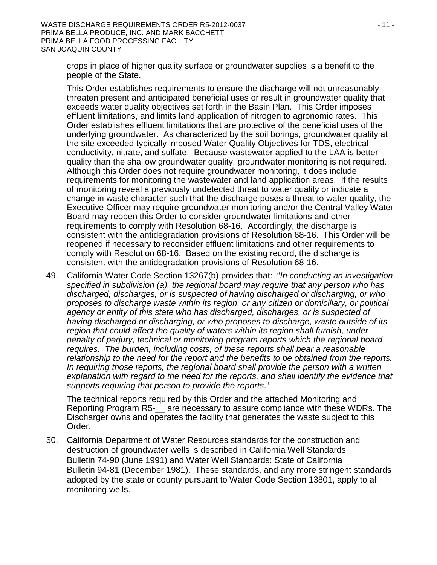crops in place of higher quality surface or groundwater supplies is a benefit to the people of the State.

This Order establishes requirements to ensure the discharge will not unreasonably threaten present and anticipated beneficial uses or result in groundwater quality that exceeds water quality objectives set forth in the Basin Plan. This Order imposes effluent limitations, and limits land application of nitrogen to agronomic rates. This Order establishes effluent limitations that are protective of the beneficial uses of the underlying groundwater. As characterized by the soil borings, groundwater quality at the site exceeded typically imposed Water Quality Objectives for TDS, electrical conductivity, nitrate, and sulfate. Because wastewater applied to the LAA is better quality than the shallow groundwater quality, groundwater monitoring is not required. Although this Order does not require groundwater monitoring, it does include requirements for monitoring the wastewater and land application areas. If the results of monitoring reveal a previously undetected threat to water quality or indicate a change in waste character such that the discharge poses a threat to water quality, the Executive Officer may require groundwater monitoring and/or the Central Valley Water Board may reopen this Order to consider groundwater limitations and other requirements to comply with Resolution 68-16. Accordingly, the discharge is consistent with the antidegradation provisions of Resolution 68-16. This Order will be reopened if necessary to reconsider effluent limitations and other requirements to comply with Resolution 68-16. Based on the existing record, the discharge is consistent with the antidegradation provisions of Resolution 68-16.

49. California Water Code Section 13267(b) provides that: "*In conducting an investigation specified in subdivision (a), the regional board may require that any person who has discharged, discharges, or is suspected of having discharged or discharging, or who proposes to discharge waste within its region, or any citizen or domiciliary, or political agency or entity of this state who has discharged, discharges, or is suspected of having discharged or discharging, or who proposes to discharge, waste outside of its region that could affect the quality of waters within its region shall furnish, under penalty of perjury, technical or monitoring program reports which the regional board requires. The burden, including costs, of these reports shall bear a reasonable relationship to the need for the report and the benefits to be obtained from the reports. In requiring those reports, the regional board shall provide the person with a written explanation with regard to the need for the reports, and shall identify the evidence that supports requiring that person to provide the reports*."

The technical reports required by this Order and the attached Monitoring and Reporting Program R5-\_\_ are necessary to assure compliance with these WDRs. The Discharger owns and operates the facility that generates the waste subject to this Order.

50. California Department of Water Resources standards for the construction and destruction of groundwater wells is described in California Well Standards Bulletin 74-90 (June 1991) and Water Well Standards: State of California Bulletin 94-81 (December 1981). These standards, and any more stringent standards adopted by the state or county pursuant to Water Code Section 13801, apply to all monitoring wells.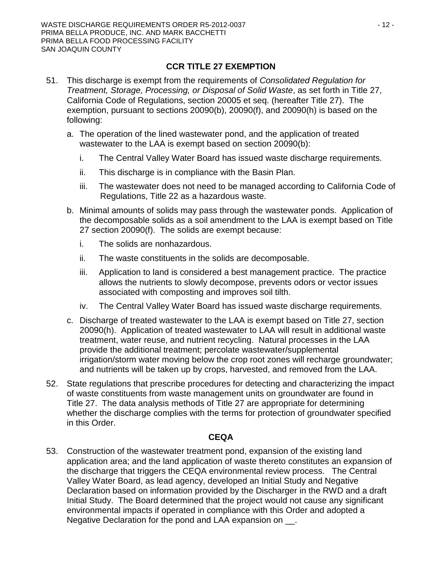## **CCR TITLE 27 EXEMPTION**

- 51. This discharge is exempt from the requirements of *Consolidated Regulation for Treatment, Storage, Processing, or Disposal of Solid Waste*, as set forth in Title 27, California Code of Regulations, section 20005 et seq. (hereafter Title 27). The exemption, pursuant to sections 20090(b), 20090(f), and 20090(h) is based on the following:
	- a. The operation of the lined wastewater pond, and the application of treated wastewater to the LAA is exempt based on section 20090(b):
		- i. The Central Valley Water Board has issued waste discharge requirements.
		- ii. This discharge is in compliance with the Basin Plan.
		- iii. The wastewater does not need to be managed according to California Code of Regulations, Title 22 as a hazardous waste.
	- b. Minimal amounts of solids may pass through the wastewater ponds. Application of the decomposable solids as a soil amendment to the LAA is exempt based on Title 27 section 20090(f). The solids are exempt because:
		- i. The solids are nonhazardous.
		- ii. The waste constituents in the solids are decomposable.
		- iii. Application to land is considered a best management practice. The practice allows the nutrients to slowly decompose, prevents odors or vector issues associated with composting and improves soil tilth.
		- iv. The Central Valley Water Board has issued waste discharge requirements.
	- c. Discharge of treated wastewater to the LAA is exempt based on Title 27, section 20090(h). Application of treated wastewater to LAA will result in additional waste treatment, water reuse, and nutrient recycling. Natural processes in the LAA provide the additional treatment; percolate wastewater/supplemental irrigation/storm water moving below the crop root zones will recharge groundwater; and nutrients will be taken up by crops, harvested, and removed from the LAA.
- 52. State regulations that prescribe procedures for detecting and characterizing the impact of waste constituents from waste management units on groundwater are found in Title 27. The data analysis methods of Title 27 are appropriate for determining whether the discharge complies with the terms for protection of groundwater specified in this Order.

### **CEQA**

53. Construction of the wastewater treatment pond, expansion of the existing land application area; and the land application of waste thereto constitutes an expansion of the discharge that triggers the CEQA environmental review process. The Central Valley Water Board, as lead agency, developed an Initial Study and Negative Declaration based on information provided by the Discharger in the RWD and a draft Initial Study. The Board determined that the project would not cause any significant environmental impacts if operated in compliance with this Order and adopted a Negative Declaration for the pond and LAA expansion on \_\_.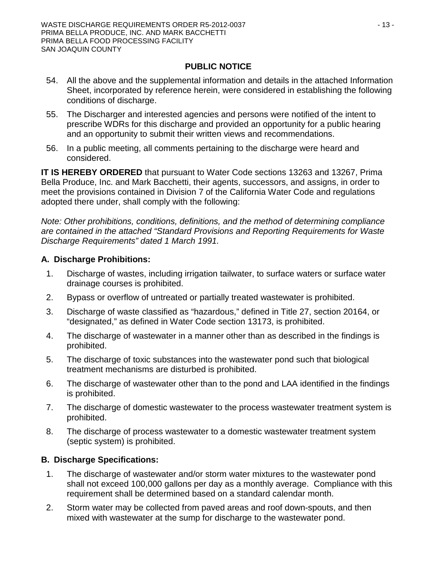## **PUBLIC NOTICE**

- 54. All the above and the supplemental information and details in the attached Information Sheet, incorporated by reference herein, were considered in establishing the following conditions of discharge.
- 55. The Discharger and interested agencies and persons were notified of the intent to prescribe WDRs for this discharge and provided an opportunity for a public hearing and an opportunity to submit their written views and recommendations.
- 56. In a public meeting, all comments pertaining to the discharge were heard and considered.

**IT IS HEREBY ORDERED** that pursuant to Water Code sections 13263 and 13267, Prima Bella Produce, Inc. and Mark Bacchetti, their agents, successors, and assigns, in order to meet the provisions contained in Division 7 of the California Water Code and regulations adopted there under, shall comply with the following:

*Note: Other prohibitions, conditions, definitions, and the method of determining compliance are contained in the attached "Standard Provisions and Reporting Requirements for Waste Discharge Requirements" dated 1 March 1991.*

## **A. Discharge Prohibitions:**

- 1. Discharge of wastes, including irrigation tailwater, to surface waters or surface water drainage courses is prohibited.
- 2. Bypass or overflow of untreated or partially treated wastewater is prohibited.
- 3. Discharge of waste classified as "hazardous," defined in Title 27, section 20164, or "designated," as defined in Water Code section 13173, is prohibited.
- 4. The discharge of wastewater in a manner other than as described in the findings is prohibited.
- 5. The discharge of toxic substances into the wastewater pond such that biological treatment mechanisms are disturbed is prohibited.
- 6. The discharge of wastewater other than to the pond and LAA identified in the findings is prohibited.
- 7. The discharge of domestic wastewater to the process wastewater treatment system is prohibited.
- 8. The discharge of process wastewater to a domestic wastewater treatment system (septic system) is prohibited.

## **B. Discharge Specifications:**

- 1. The discharge of wastewater and/or storm water mixtures to the wastewater pond shall not exceed 100,000 gallons per day as a monthly average. Compliance with this requirement shall be determined based on a standard calendar month.
- 2. Storm water may be collected from paved areas and roof down-spouts, and then mixed with wastewater at the sump for discharge to the wastewater pond.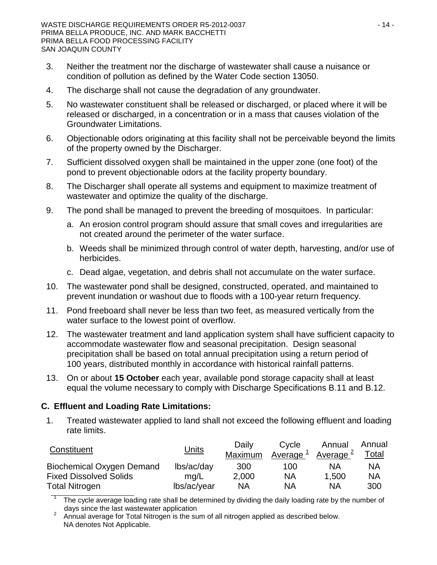- 3. Neither the treatment nor the discharge of wastewater shall cause a nuisance or condition of pollution as defined by the Water Code section 13050.
- 4. The discharge shall not cause the degradation of any groundwater.
- 5. No wastewater constituent shall be released or discharged, or placed where it will be released or discharged, in a concentration or in a mass that causes violation of the Groundwater Limitations.
- 6. Objectionable odors originating at this facility shall not be perceivable beyond the limits of the property owned by the Discharger.
- 7. Sufficient dissolved oxygen shall be maintained in the upper zone (one foot) of the pond to prevent objectionable odors at the facility property boundary.
- 8. The Discharger shall operate all systems and equipment to maximize treatment of wastewater and optimize the quality of the discharge.
- 9. The pond shall be managed to prevent the breeding of mosquitoes. In particular:
	- a. An erosion control program should assure that small coves and irregularities are not created around the perimeter of the water surface.
	- b. Weeds shall be minimized through control of water depth, harvesting, and/or use of herbicides.
	- c. Dead algae, vegetation, and debris shall not accumulate on the water surface.
- 10. The wastewater pond shall be designed, constructed, operated, and maintained to prevent inundation or washout due to floods with a 100-year return frequency.
- 11. Pond freeboard shall never be less than two feet, as measured vertically from the water surface to the lowest point of overflow.
- 12. The wastewater treatment and land application system shall have sufficient capacity to accommodate wastewater flow and seasonal precipitation. Design seasonal precipitation shall be based on total annual precipitation using a return period of 100 years, distributed monthly in accordance with historical rainfall patterns.
- 13. On or about **15 October** each year, available pond storage capacity shall at least equal the volume necessary to comply with Discharge Specifications B.11 and B.12.

### **C. Effluent and Loading Rate Limitations:**

1. Treated wastewater applied to land shall not exceed the following effluent and loading rate limits.

| Constituent                      | <u>Units</u> | Daily<br>Maximum | Cycle<br>Average $\frac{1}{2}$ | Annual<br>Average $\frac{2}{3}$ | Annual<br>T <u>otal</u> |
|----------------------------------|--------------|------------------|--------------------------------|---------------------------------|-------------------------|
| <b>Biochemical Oxygen Demand</b> | lbs/ac/day   | 300              | 100                            | NA                              | ΝA                      |
| <b>Fixed Dissolved Solids</b>    | ma/L         | 2,000            | ΝA                             | 1.500                           | <b>NA</b>               |
| <b>Total Nitrogen</b>            | lbs/ac/year  | <b>NA</b>        | <b>NA</b>                      | ΝA                              | 300                     |

The cycle average loading rate shall be determined by dividing the daily loading rate by the number of

days since the last wastewater application<br><sup>2</sup> Annual average for Total Nitrogen is the sum of all nitrogen applied as described below. NA denotes Not Applicable.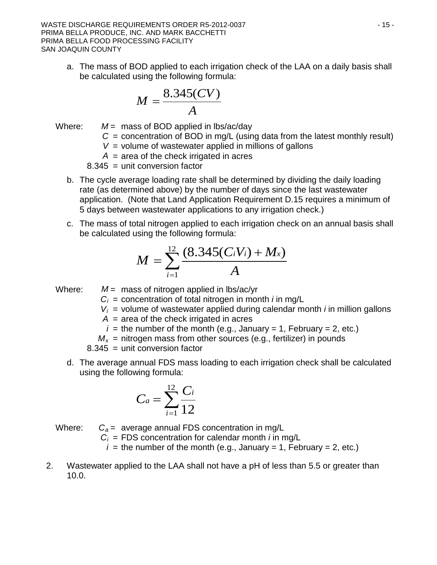WASTE DISCHARGE REQUIREMENTS ORDER R5-2012-0037 And the state of the state of the state of the state of the state of the state of the state of the state of the state of the state of the state of the state of the state of t PRIMA BELLA PRODUCE, INC. AND MARK BACCHETTI PRIMA BELLA FOOD PROCESSING FACILITY SAN JOAQUIN COUNTY

a. The mass of BOD applied to each irrigation check of the LAA on a daily basis shall be calculated using the following formula:

$$
M = \frac{8.345(CV)}{A}
$$

Where: *M* = mass of BOD applied in lbs/ac/day

- $C =$  concentration of BOD in mg/L (using data from the latest monthly result)
- *V* = volume of wastewater applied in millions of gallons

*A* = area of the check irrigated in acres

8.345 = unit conversion factor

- b. The cycle average loading rate shall be determined by dividing the daily loading rate (as determined above) by the number of days since the last wastewater application. (Note that Land Application Requirement D.15 requires a minimum of 5 days between wastewater applications to any irrigation check.)
- c. The mass of total nitrogen applied to each irrigation check on an annual basis shall be calculated using the following formula:

$$
M = \sum_{i=1}^{12} \frac{(8.345(C_iV_i) + M_x)}{A}
$$

- Where:  $M =$  mass of nitrogen applied in lbs/ac/yr
	- $C_i$  = concentration of total nitrogen in month *i* in mg/L
	- $V_i$  = volume of wastewater applied during calendar month *i* in million gallons
	- $A =$  area of the check irrigated in acres
	- $i =$  the number of the month (e.g., January = 1, February = 2, etc.)
	- $M_x$  = nitrogen mass from other sources (e.g., fertilizer) in pounds

8.345 = unit conversion factor

d. The average annual FDS mass loading to each irrigation check shall be calculated using the following formula:

$$
C_a = \sum_{i=1}^{12} \frac{C_i}{12}
$$

Where:  $C_a$  = average annual FDS concentration in mg/L  $C_i$  = FDS concentration for calendar month *i* in mg/L

 $i =$  the number of the month (e.g., January = 1, February = 2, etc.)

2. Wastewater applied to the LAA shall not have a pH of less than 5.5 or greater than 10.0.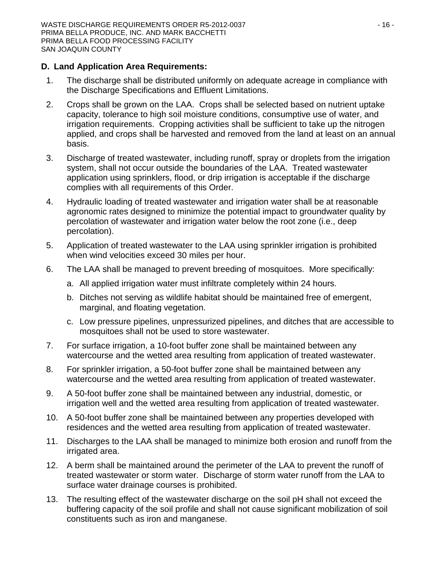### **D. Land Application Area Requirements:**

- 1. The discharge shall be distributed uniformly on adequate acreage in compliance with the Discharge Specifications and Effluent Limitations.
- 2. Crops shall be grown on the LAA. Crops shall be selected based on nutrient uptake capacity, tolerance to high soil moisture conditions, consumptive use of water, and irrigation requirements. Cropping activities shall be sufficient to take up the nitrogen applied, and crops shall be harvested and removed from the land at least on an annual basis.
- 3. Discharge of treated wastewater, including runoff, spray or droplets from the irrigation system, shall not occur outside the boundaries of the LAA. Treated wastewater application using sprinklers, flood, or drip irrigation is acceptable if the discharge complies with all requirements of this Order.
- 4. Hydraulic loading of treated wastewater and irrigation water shall be at reasonable agronomic rates designed to minimize the potential impact to groundwater quality by percolation of wastewater and irrigation water below the root zone (i.e., deep percolation).
- 5. Application of treated wastewater to the LAA using sprinkler irrigation is prohibited when wind velocities exceed 30 miles per hour.
- 6. The LAA shall be managed to prevent breeding of mosquitoes. More specifically:
	- a. All applied irrigation water must infiltrate completely within 24 hours.
	- b. Ditches not serving as wildlife habitat should be maintained free of emergent, marginal, and floating vegetation.
	- c. Low pressure pipelines, unpressurized pipelines, and ditches that are accessible to mosquitoes shall not be used to store wastewater.
- 7. For surface irrigation, a 10-foot buffer zone shall be maintained between any watercourse and the wetted area resulting from application of treated wastewater.
- 8. For sprinkler irrigation, a 50-foot buffer zone shall be maintained between any watercourse and the wetted area resulting from application of treated wastewater.
- 9. A 50-foot buffer zone shall be maintained between any industrial, domestic, or irrigation well and the wetted area resulting from application of treated wastewater.
- 10. A 50-foot buffer zone shall be maintained between any properties developed with residences and the wetted area resulting from application of treated wastewater.
- 11. Discharges to the LAA shall be managed to minimize both erosion and runoff from the irrigated area.
- 12. A berm shall be maintained around the perimeter of the LAA to prevent the runoff of treated wastewater or storm water. Discharge of storm water runoff from the LAA to surface water drainage courses is prohibited.
- 13. The resulting effect of the wastewater discharge on the soil pH shall not exceed the buffering capacity of the soil profile and shall not cause significant mobilization of soil constituents such as iron and manganese.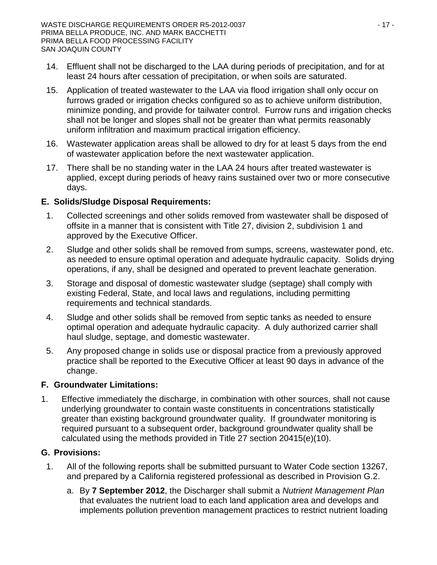- 14. Effluent shall not be discharged to the LAA during periods of precipitation, and for at least 24 hours after cessation of precipitation, or when soils are saturated.
- 15. Application of treated wastewater to the LAA via flood irrigation shall only occur on furrows graded or irrigation checks configured so as to achieve uniform distribution, minimize ponding, and provide for tailwater control. Furrow runs and irrigation checks shall not be longer and slopes shall not be greater than what permits reasonably uniform infiltration and maximum practical irrigation efficiency.
- 16. Wastewater application areas shall be allowed to dry for at least 5 days from the end of wastewater application before the next wastewater application.
- 17. There shall be no standing water in the LAA 24 hours after treated wastewater is applied, except during periods of heavy rains sustained over two or more consecutive days.

## **E. Solids/Sludge Disposal Requirements:**

- 1. Collected screenings and other solids removed from wastewater shall be disposed of offsite in a manner that is consistent with Title 27, division 2, subdivision 1 and approved by the Executive Officer.
- 2. Sludge and other solids shall be removed from sumps, screens, wastewater pond, etc. as needed to ensure optimal operation and adequate hydraulic capacity. Solids drying operations, if any, shall be designed and operated to prevent leachate generation.
- 3. Storage and disposal of domestic wastewater sludge (septage) shall comply with existing Federal, State, and local laws and regulations, including permitting requirements and technical standards.
- 4. Sludge and other solids shall be removed from septic tanks as needed to ensure optimal operation and adequate hydraulic capacity. A duly authorized carrier shall haul sludge, septage, and domestic wastewater.
- 5. Any proposed change in solids use or disposal practice from a previously approved practice shall be reported to the Executive Officer at least 90 days in advance of the change.

## **F. Groundwater Limitations:**

1. Effective immediately the discharge, in combination with other sources, shall not cause underlying groundwater to contain waste constituents in concentrations statistically greater than existing background groundwater quality. If groundwater monitoring is required pursuant to a subsequent order, background groundwater quality shall be calculated using the methods provided in Title 27 section 20415(e)(10).

## **G. Provisions:**

- 1. All of the following reports shall be submitted pursuant to Water Code section 13267, and prepared by a California registered professional as described in Provision G.2.
	- a. By **7 September 2012**, the Discharger shall submit a *Nutrient Management Plan* that evaluates the nutrient load to each land application area and develops and implements pollution prevention management practices to restrict nutrient loading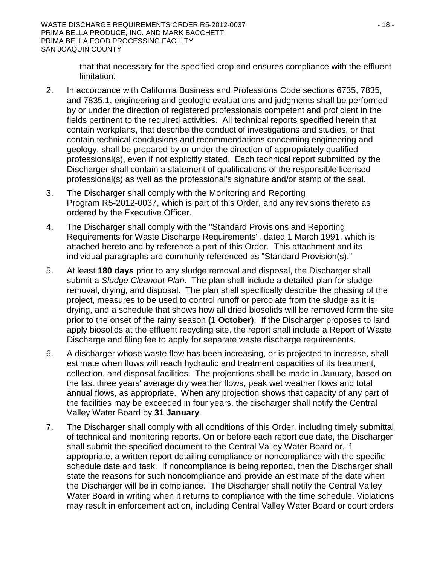that that necessary for the specified crop and ensures compliance with the effluent limitation.

- 2. In accordance with California Business and Professions Code sections 6735, 7835, and 7835.1, engineering and geologic evaluations and judgments shall be performed by or under the direction of registered professionals competent and proficient in the fields pertinent to the required activities. All technical reports specified herein that contain workplans, that describe the conduct of investigations and studies, or that contain technical conclusions and recommendations concerning engineering and geology, shall be prepared by or under the direction of appropriately qualified professional(s), even if not explicitly stated. Each technical report submitted by the Discharger shall contain a statement of qualifications of the responsible licensed professional(s) as well as the professional's signature and/or stamp of the seal.
- 3. The Discharger shall comply with the Monitoring and Reporting Program R5-2012-0037, which is part of this Order, and any revisions thereto as ordered by the Executive Officer.
- 4. The Discharger shall comply with the "Standard Provisions and Reporting Requirements for Waste Discharge Requirements", dated 1 March 1991, which is attached hereto and by reference a part of this Order. This attachment and its individual paragraphs are commonly referenced as "Standard Provision(s)."
- 5. At least **180 days** prior to any sludge removal and disposal, the Discharger shall submit a *Sludge Cleanout Plan*. The plan shall include a detailed plan for sludge removal, drying, and disposal. The plan shall specifically describe the phasing of the project, measures to be used to control runoff or percolate from the sludge as it is drying, and a schedule that shows how all dried biosolids will be removed form the site prior to the onset of the rainy season **(1 October)**. If the Discharger proposes to land apply biosolids at the effluent recycling site, the report shall include a Report of Waste Discharge and filing fee to apply for separate waste discharge requirements.
- 6. A discharger whose waste flow has been increasing, or is projected to increase, shall estimate when flows will reach hydraulic and treatment capacities of its treatment, collection, and disposal facilities. The projections shall be made in January, based on the last three years' average dry weather flows, peak wet weather flows and total annual flows, as appropriate. When any projection shows that capacity of any part of the facilities may be exceeded in four years, the discharger shall notify the Central Valley Water Board by **31 January**.
- 7. The Discharger shall comply with all conditions of this Order, including timely submittal of technical and monitoring reports. On or before each report due date, the Discharger shall submit the specified document to the Central Valley Water Board or, if appropriate, a written report detailing compliance or noncompliance with the specific schedule date and task. If noncompliance is being reported, then the Discharger shall state the reasons for such noncompliance and provide an estimate of the date when the Discharger will be in compliance. The Discharger shall notify the Central Valley Water Board in writing when it returns to compliance with the time schedule. Violations may result in enforcement action, including Central Valley Water Board or court orders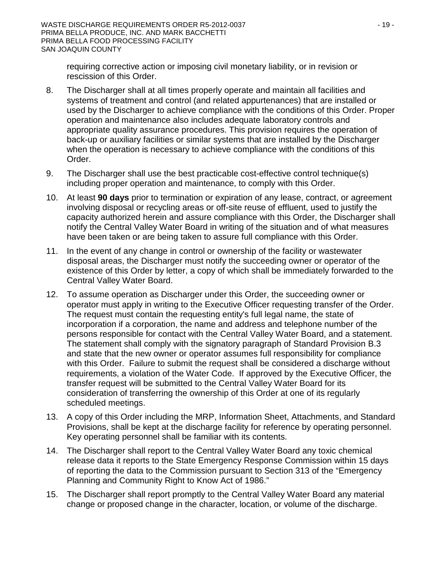requiring corrective action or imposing civil monetary liability, or in revision or rescission of this Order.

- 8. The Discharger shall at all times properly operate and maintain all facilities and systems of treatment and control (and related appurtenances) that are installed or used by the Discharger to achieve compliance with the conditions of this Order. Proper operation and maintenance also includes adequate laboratory controls and appropriate quality assurance procedures. This provision requires the operation of back-up or auxiliary facilities or similar systems that are installed by the Discharger when the operation is necessary to achieve compliance with the conditions of this Order.
- 9. The Discharger shall use the best practicable cost-effective control technique(s) including proper operation and maintenance, to comply with this Order.
- 10. At least **90 days** prior to termination or expiration of any lease, contract, or agreement involving disposal or recycling areas or off-site reuse of effluent, used to justify the capacity authorized herein and assure compliance with this Order, the Discharger shall notify the Central Valley Water Board in writing of the situation and of what measures have been taken or are being taken to assure full compliance with this Order.
- 11. In the event of any change in control or ownership of the facility or wastewater disposal areas, the Discharger must notify the succeeding owner or operator of the existence of this Order by letter, a copy of which shall be immediately forwarded to the Central Valley Water Board.
- 12. To assume operation as Discharger under this Order, the succeeding owner or operator must apply in writing to the Executive Officer requesting transfer of the Order. The request must contain the requesting entity's full legal name, the state of incorporation if a corporation, the name and address and telephone number of the persons responsible for contact with the Central Valley Water Board, and a statement. The statement shall comply with the signatory paragraph of Standard Provision B.3 and state that the new owner or operator assumes full responsibility for compliance with this Order. Failure to submit the request shall be considered a discharge without requirements, a violation of the Water Code. If approved by the Executive Officer, the transfer request will be submitted to the Central Valley Water Board for its consideration of transferring the ownership of this Order at one of its regularly scheduled meetings.
- 13. A copy of this Order including the MRP, Information Sheet, Attachments, and Standard Provisions, shall be kept at the discharge facility for reference by operating personnel. Key operating personnel shall be familiar with its contents.
- 14. The Discharger shall report to the Central Valley Water Board any toxic chemical release data it reports to the State Emergency Response Commission within 15 days of reporting the data to the Commission pursuant to Section 313 of the "Emergency Planning and Community Right to Know Act of 1986."
- 15. The Discharger shall report promptly to the Central Valley Water Board any material change or proposed change in the character, location, or volume of the discharge.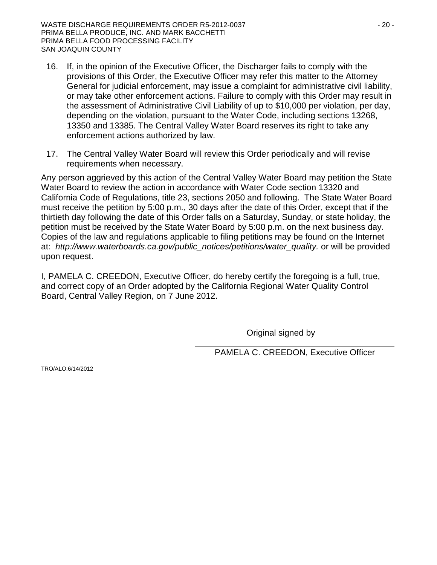- 16. If, in the opinion of the Executive Officer, the Discharger fails to comply with the provisions of this Order, the Executive Officer may refer this matter to the Attorney General for judicial enforcement, may issue a complaint for administrative civil liability, or may take other enforcement actions. Failure to comply with this Order may result in the assessment of Administrative Civil Liability of up to \$10,000 per violation, per day, depending on the violation, pursuant to the Water Code, including sections 13268, 13350 and 13385. The Central Valley Water Board reserves its right to take any enforcement actions authorized by law.
- 17. The Central Valley Water Board will review this Order periodically and will revise requirements when necessary.

Any person aggrieved by this action of the Central Valley Water Board may petition the State Water Board to review the action in accordance with Water Code section 13320 and California Code of Regulations, title 23, sections 2050 and following. The State Water Board must receive the petition by 5:00 p.m., 30 days after the date of this Order, except that if the thirtieth day following the date of this Order falls on a Saturday, Sunday, or state holiday, the petition must be received by the State Water Board by 5:00 p.m. on the next business day. Copies of the law and regulations applicable to filing petitions may be found on the Internet at: *[http://www.waterboards.ca.gov/public\\_notices/petitions/water\\_quality.](http://www.waterboards.ca.gov/public_notices/petitions/water_quality)* or will be provided upon request.

I, PAMELA C. CREEDON, Executive Officer, do hereby certify the foregoing is a full, true, and correct copy of an Order adopted by the California Regional Water Quality Control Board, Central Valley Region, on 7 June 2012.

Original signed by

PAMELA C. CREEDON, Executive Officer

TRO/ALO:6/14/2012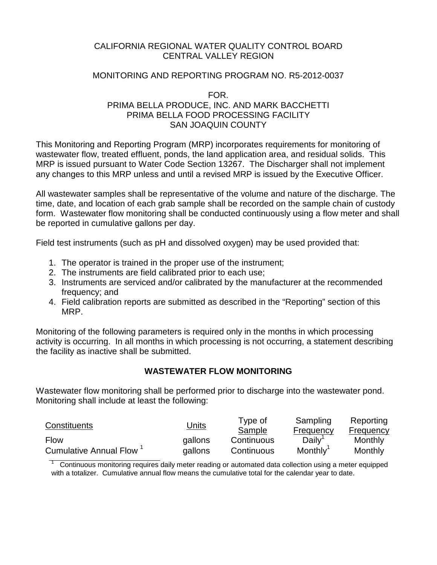### CALIFORNIA REGIONAL WATER QUALITY CONTROL BOARD CENTRAL VALLEY REGION

### MONITORING AND REPORTING PROGRAM NO. R5-2012-0037

#### FOR. PRIMA BELLA PRODUCE, INC. AND MARK BACCHETTI PRIMA BELLA FOOD PROCESSING FACILITY SAN JOAQUIN COUNTY

This Monitoring and Reporting Program (MRP) incorporates requirements for monitoring of wastewater flow, treated effluent, ponds, the land application area, and residual solids. This MRP is issued pursuant to Water Code Section 13267. The Discharger shall not implement any changes to this MRP unless and until a revised MRP is issued by the Executive Officer.

All wastewater samples shall be representative of the volume and nature of the discharge. The time, date, and location of each grab sample shall be recorded on the sample chain of custody form. Wastewater flow monitoring shall be conducted continuously using a flow meter and shall be reported in cumulative gallons per day.

Field test instruments (such as pH and dissolved oxygen) may be used provided that:

- 1. The operator is trained in the proper use of the instrument;
- 2. The instruments are field calibrated prior to each use;
- 3. Instruments are serviced and/or calibrated by the manufacturer at the recommended frequency; and
- 4. Field calibration reports are submitted as described in the "Reporting" section of this MRP.

Monitoring of the following parameters is required only in the months in which processing activity is occurring. In all months in which processing is not occurring, a statement describing the facility as inactive shall be submitted.

## **WASTEWATER FLOW MONITORING**

Wastewater flow monitoring shall be performed prior to discharge into the wastewater pond. Monitoring shall include at least the following:

| Constituents           | <u>Units</u> | Type of<br>Sample | Sampling<br>Frequency | Reporting<br>Frequency |
|------------------------|--------------|-------------------|-----------------------|------------------------|
| <b>Flow</b>            | gallons      | Continuous        | Daily                 | Monthly                |
| Cumulative Annual Flow | gallons      | Continuous        | Monthly               | Monthly                |

1 Continuous monitoring requires daily meter reading or automated data collection using a meter equipped with a totalizer. Cumulative annual flow means the cumulative total for the calendar year to date.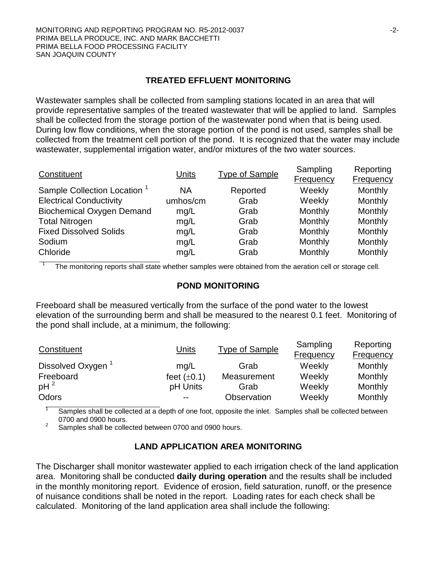#### **TREATED EFFLUENT MONITORING**

Wastewater samples shall be collected from sampling stations located in an area that will provide representative samples of the treated wastewater that will be applied to land. Samples shall be collected from the storage portion of the wastewater pond when that is being used. During low flow conditions, when the storage portion of the pond is not used, samples shall be collected from the treatment cell portion of the pond. It is recognized that the water may include wastewater, supplemental irrigation water, and/or mixtures of the two water sources.

| Constituent                             | <b>Units</b> | <b>Type of Sample</b> | Sampling<br><b>Frequency</b> | Reporting<br><b>Frequency</b> |
|-----------------------------------------|--------------|-----------------------|------------------------------|-------------------------------|
| Sample Collection Location <sup>1</sup> | <b>NA</b>    | Reported              | Weekly                       | Monthly                       |
| <b>Electrical Conductivity</b>          | umhos/cm     | Grab                  | Weekly                       | Monthly                       |
| <b>Biochemical Oxygen Demand</b>        | mg/L         | Grab                  | Monthly                      | Monthly                       |
| <b>Total Nitrogen</b>                   | mg/L         | Grab                  | Monthly                      | Monthly                       |
| <b>Fixed Dissolved Solids</b>           | mg/L         | Grab                  | Monthly                      | Monthly                       |
| Sodium                                  | mg/L         | Grab                  | Monthly                      | Monthly                       |
| Chloride                                | mg/L         | Grab                  | Monthly                      | Monthly                       |

The monitoring reports shall state whether samples were obtained from the aeration cell or storage cell.

#### **POND MONITORING**

Freeboard shall be measured vertically from the surface of the pond water to the lowest elevation of the surrounding berm and shall be measured to the nearest 0.1 feet. Monitoring of the pond shall include, at a minimum, the following:

| Constituent                   | Units            | <b>Type of Sample</b> | Sampling<br><b>Frequency</b> | Reporting<br><b>Frequency</b> |
|-------------------------------|------------------|-----------------------|------------------------------|-------------------------------|
| Dissolved Oxygen <sup>1</sup> | mq/L             | Grab                  | Weekly                       | Monthly                       |
| Freeboard                     | feet $(\pm 0.1)$ | Measurement           | Weekly                       | Monthly                       |
| $pH^2$                        | pH Units         | Grab                  | Weekly                       | Monthly                       |
| Odors                         | $- -$            | Observation           | Weekly                       | Monthly                       |

Samples shall be collected at a depth of one foot, opposite the inlet. Samples shall be collected between 0700 and 0900 hours.<br><sup>2</sup> Samples shall be collected between 0700 and 0900 hours.

### **LAND APPLICATION AREA MONITORING**

The Discharger shall monitor wastewater applied to each irrigation check of the land application area. Monitoring shall be conducted **daily during operation** and the results shall be included in the monthly monitoring report. Evidence of erosion, field saturation, runoff, or the presence of nuisance conditions shall be noted in the report. Loading rates for each check shall be calculated. Monitoring of the land application area shall include the following: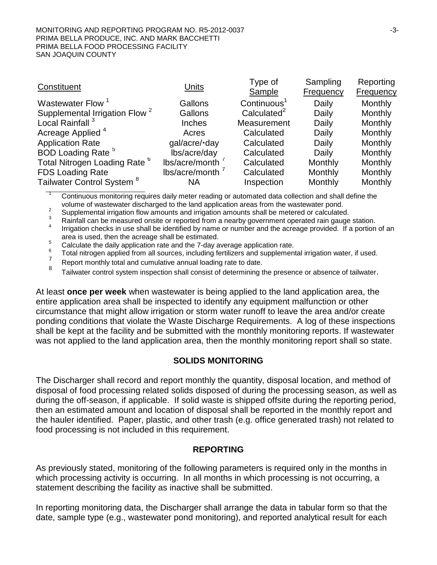#### MONITORING AND REPORTING PROGRAM NO. R5-2012-0037 -3- PRIMA BELLA PRODUCE, INC. AND MARK BACCHETTI PRIMA BELLA FOOD PROCESSING FACILITY SAN JOAQUIN COUNTY

|                  | Type of                 | Sampling         | Reporting |
|------------------|-------------------------|------------------|-----------|
|                  | Sample                  | <b>Frequency</b> | Frequency |
| Gallons          | Continuous <sup>1</sup> | Daily            | Monthly   |
| Gallons          | Calculated $2$          | Daily            | Monthly   |
| Inches           | Measurement             | Daily            | Monthly   |
| Acres            | Calculated              | Daily            | Monthly   |
| gal/acre/·day    | Calculated              | Daily            | Monthly   |
| lbs/acre/day     | Calculated              | Daily            | Monthly   |
| lbs/acre/month   | Calculated              | Monthly          | Monthly   |
| lbs/acre/month ' | Calculated              | Monthly          | Monthly   |
| <b>NA</b>        | Inspection              | Monthly          | Monthly   |
|                  | <b>Units</b>            |                  |           |

Continuous monitoring requires daily meter reading or automated data collection and shall define the volume of wastewater discharged to the land application areas from the wastewater pond.

<sup>2</sup><br>Supplemental irrigation flow amounts and irrigation amounts shall be metered or calculated.<br>Rainfall can be measured onsite or reported from a nearby government operated rain gauge station. Irrigation checks in use shall be identified by name or number and the acreage provided. If a portion of an area is used, then the acreage shall be estimated.

<sup>5</sup><br>Calculate the daily application rate and the 7-day average application rate.<br><sup>6</sup><br>Total nitrogen applied from all sources, including fertilizers and supplemental irrigation water, if used.

 $\frac{8}{8}$  Report monthly total and cumulative annual loading rate to date.<br>8 Tailwater control system inspection shall consist of determining the presence or absence of tailwater.

At least **once per week** when wastewater is being applied to the land application area, the entire application area shall be inspected to identify any equipment malfunction or other circumstance that might allow irrigation or storm water runoff to leave the area and/or create ponding conditions that violate the Waste Discharge Requirements. A log of these inspections shall be kept at the facility and be submitted with the monthly monitoring reports. If wastewater was not applied to the land application area, then the monthly monitoring report shall so state.

### **SOLIDS MONITORING**

The Discharger shall record and report monthly the quantity, disposal location, and method of disposal of food processing related solids disposed of during the processing season, as well as during the off-season, if applicable. If solid waste is shipped offsite during the reporting period, then an estimated amount and location of disposal shall be reported in the monthly report and the hauler identified. Paper, plastic, and other trash (e.g. office generated trash) not related to food processing is not included in this requirement.

### **REPORTING**

As previously stated, monitoring of the following parameters is required only in the months in which processing activity is occurring. In all months in which processing is not occurring, a statement describing the facility as inactive shall be submitted.

In reporting monitoring data, the Discharger shall arrange the data in tabular form so that the date, sample type (e.g., wastewater pond monitoring), and reported analytical result for each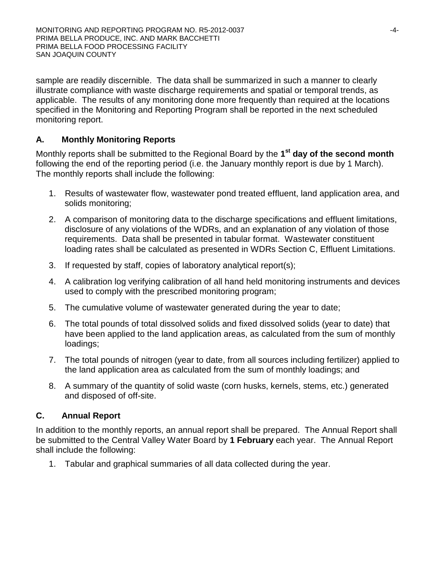sample are readily discernible. The data shall be summarized in such a manner to clearly illustrate compliance with waste discharge requirements and spatial or temporal trends, as applicable. The results of any monitoring done more frequently than required at the locations specified in the Monitoring and Reporting Program shall be reported in the next scheduled monitoring report.

## **A. Monthly Monitoring Reports**

Monthly reports shall be submitted to the Regional Board by the **1st day of the second month** following the end of the reporting period (i.e. the January monthly report is due by 1 March). The monthly reports shall include the following:

- 1. Results of wastewater flow, wastewater pond treated effluent, land application area, and solids monitoring;
- 2. A comparison of monitoring data to the discharge specifications and effluent limitations, disclosure of any violations of the WDRs, and an explanation of any violation of those requirements. Data shall be presented in tabular format. Wastewater constituent loading rates shall be calculated as presented in WDRs Section C, Effluent Limitations.
- 3. If requested by staff, copies of laboratory analytical report(s);
- 4. A calibration log verifying calibration of all hand held monitoring instruments and devices used to comply with the prescribed monitoring program;
- 5. The cumulative volume of wastewater generated during the year to date;
- 6. The total pounds of total dissolved solids and fixed dissolved solids (year to date) that have been applied to the land application areas, as calculated from the sum of monthly loadings;
- 7. The total pounds of nitrogen (year to date, from all sources including fertilizer) applied to the land application area as calculated from the sum of monthly loadings; and
- 8. A summary of the quantity of solid waste (corn husks, kernels, stems, etc.) generated and disposed of off-site.

# **C. Annual Report**

In addition to the monthly reports, an annual report shall be prepared. The Annual Report shall be submitted to the Central Valley Water Board by **1 February** each year. The Annual Report shall include the following:

1. Tabular and graphical summaries of all data collected during the year.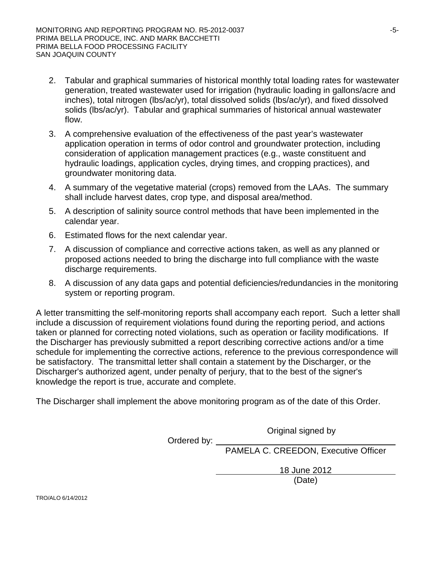- 2. Tabular and graphical summaries of historical monthly total loading rates for wastewater generation, treated wastewater used for irrigation (hydraulic loading in gallons/acre and inches), total nitrogen (lbs/ac/yr), total dissolved solids (lbs/ac/yr), and fixed dissolved solids (lbs/ac/yr). Tabular and graphical summaries of historical annual wastewater flow.
- 3. A comprehensive evaluation of the effectiveness of the past year's wastewater application operation in terms of odor control and groundwater protection, including consideration of application management practices (e.g., waste constituent and hydraulic loadings, application cycles, drying times, and cropping practices), and groundwater monitoring data.
- 4. A summary of the vegetative material (crops) removed from the LAAs. The summary shall include harvest dates, crop type, and disposal area/method.
- 5. A description of salinity source control methods that have been implemented in the calendar year.
- 6. Estimated flows for the next calendar year.
- 7. A discussion of compliance and corrective actions taken, as well as any planned or proposed actions needed to bring the discharge into full compliance with the waste discharge requirements.
- 8. A discussion of any data gaps and potential deficiencies/redundancies in the monitoring system or reporting program.

A letter transmitting the self-monitoring reports shall accompany each report. Such a letter shall include a discussion of requirement violations found during the reporting period, and actions taken or planned for correcting noted violations, such as operation or facility modifications. If the Discharger has previously submitted a report describing corrective actions and/or a time schedule for implementing the corrective actions, reference to the previous correspondence will be satisfactory. The transmittal letter shall contain a statement by the Discharger, or the Discharger's authorized agent, under penalty of perjury, that to the best of the signer's knowledge the report is true, accurate and complete.

The Discharger shall implement the above monitoring program as of the date of this Order.

Original signed by

Ordered by: PAMELA C. CREEDON, Executive Officer

18 June 2012

(Date)

TRO/ALO 6/14/2012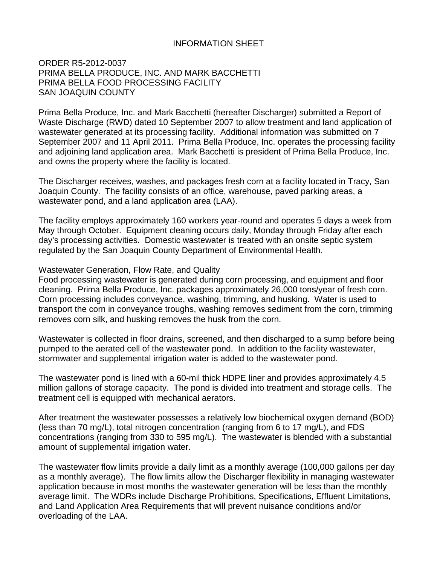#### INFORMATION SHEET

ORDER R5-2012-0037 PRIMA BELLA PRODUCE, INC. AND MARK BACCHETTI PRIMA BELLA FOOD PROCESSING FACILITY SAN JOAQUIN COUNTY

Prima Bella Produce, Inc. and Mark Bacchetti (hereafter Discharger) submitted a Report of Waste Discharge (RWD) dated 10 September 2007 to allow treatment and land application of wastewater generated at its processing facility. Additional information was submitted on 7 September 2007 and 11 April 2011. Prima Bella Produce, Inc. operates the processing facility and adjoining land application area. Mark Bacchetti is president of Prima Bella Produce, Inc. and owns the property where the facility is located.

The Discharger receives, washes, and packages fresh corn at a facility located in Tracy, San Joaquin County. The facility consists of an office, warehouse, paved parking areas, a wastewater pond, and a land application area (LAA).

The facility employs approximately 160 workers year-round and operates 5 days a week from May through October. Equipment cleaning occurs daily, Monday through Friday after each day's processing activities. Domestic wastewater is treated with an onsite septic system regulated by the San Joaquin County Department of Environmental Health.

#### Wastewater Generation, Flow Rate, and Quality

Food processing wastewater is generated during corn processing, and equipment and floor cleaning. Prima Bella Produce, Inc. packages approximately 26,000 tons/year of fresh corn. Corn processing includes conveyance, washing, trimming, and husking. Water is used to transport the corn in conveyance troughs, washing removes sediment from the corn, trimming removes corn silk, and husking removes the husk from the corn.

Wastewater is collected in floor drains, screened, and then discharged to a sump before being pumped to the aerated cell of the wastewater pond. In addition to the facility wastewater, stormwater and supplemental irrigation water is added to the wastewater pond.

The wastewater pond is lined with a 60-mil thick HDPE liner and provides approximately 4.5 million gallons of storage capacity. The pond is divided into treatment and storage cells. The treatment cell is equipped with mechanical aerators.

After treatment the wastewater possesses a relatively low biochemical oxygen demand (BOD) (less than 70 mg/L), total nitrogen concentration (ranging from 6 to 17 mg/L), and FDS concentrations (ranging from 330 to 595 mg/L). The wastewater is blended with a substantial amount of supplemental irrigation water.

The wastewater flow limits provide a daily limit as a monthly average (100,000 gallons per day as a monthly average). The flow limits allow the Discharger flexibility in managing wastewater application because in most months the wastewater generation will be less than the monthly average limit. The WDRs include Discharge Prohibitions, Specifications, Effluent Limitations, and Land Application Area Requirements that will prevent nuisance conditions and/or overloading of the LAA.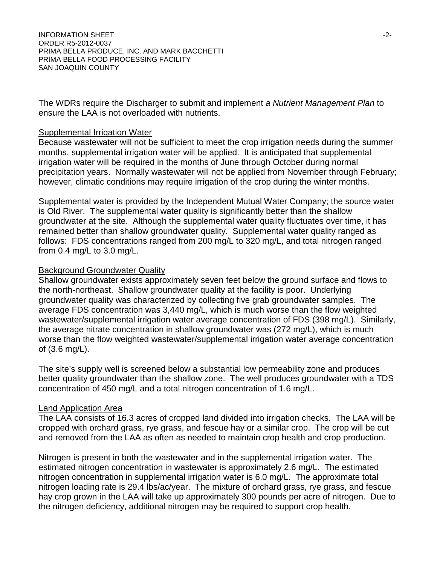The WDRs require the Discharger to submit and implement *a Nutrient Management Plan* to ensure the LAA is not overloaded with nutrients.

#### Supplemental Irrigation Water

Because wastewater will not be sufficient to meet the crop irrigation needs during the summer months, supplemental irrigation water will be applied. It is anticipated that supplemental irrigation water will be required in the months of June through October during normal precipitation years. Normally wastewater will not be applied from November through February; however, climatic conditions may require irrigation of the crop during the winter months.

Supplemental water is provided by the Independent Mutual Water Company; the source water is Old River. The supplemental water quality is significantly better than the shallow groundwater at the site. Although the supplemental water quality fluctuates over time, it has remained better than shallow groundwater quality. Supplemental water quality ranged as follows: FDS concentrations ranged from 200 mg/L to 320 mg/L, and total nitrogen ranged from 0.4 mg/L to 3.0 mg/L.

#### Background Groundwater Quality

Shallow groundwater exists approximately seven feet below the ground surface and flows to the north-northeast. Shallow groundwater quality at the facility is poor. Underlying groundwater quality was characterized by collecting five grab groundwater samples. The average FDS concentration was 3,440 mg/L, which is much worse than the flow weighted wastewater/supplemental irrigation water average concentration of FDS (398 mg/L). Similarly, the average nitrate concentration in shallow groundwater was (272 mg/L), which is much worse than the flow weighted wastewater/supplemental irrigation water average concentration of (3.6 mg/L).

The site's supply well is screened below a substantial low permeability zone and produces better quality groundwater than the shallow zone. The well produces groundwater with a TDS concentration of 450 mg/L and a total nitrogen concentration of 1.6 mg/L.

#### Land Application Area

The LAA consists of 16.3 acres of cropped land divided into irrigation checks. The LAA will be cropped with orchard grass, rye grass, and fescue hay or a similar crop. The crop will be cut and removed from the LAA as often as needed to maintain crop health and crop production.

Nitrogen is present in both the wastewater and in the supplemental irrigation water. The estimated nitrogen concentration in wastewater is approximately 2.6 mg/L. The estimated nitrogen concentration in supplemental irrigation water is 6.0 mg/L. The approximate total nitrogen loading rate is 29.4 lbs/ac/year. The mixture of orchard grass, rye grass, and fescue hay crop grown in the LAA will take up approximately 300 pounds per acre of nitrogen. Due to the nitrogen deficiency, additional nitrogen may be required to support crop health.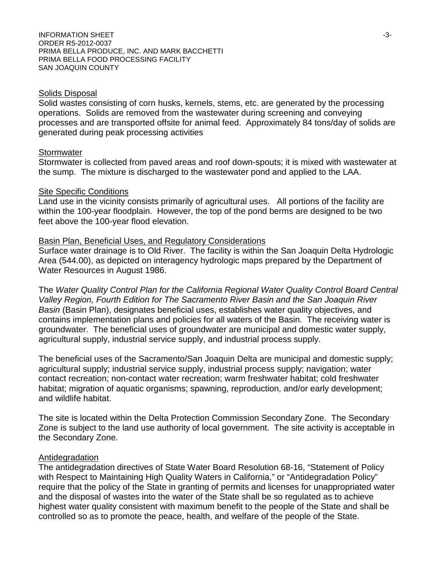#### Solids Disposal

Solid wastes consisting of corn husks, kernels, stems, etc. are generated by the processing operations. Solids are removed from the wastewater during screening and conveying processes and are transported offsite for animal feed. Approximately 84 tons/day of solids are generated during peak processing activities

#### **Stormwater**

Stormwater is collected from paved areas and roof down-spouts; it is mixed with wastewater at the sump. The mixture is discharged to the wastewater pond and applied to the LAA.

#### **Site Specific Conditions**

Land use in the vicinity consists primarily of agricultural uses. All portions of the facility are within the 100-year floodplain. However, the top of the pond berms are designed to be two feet above the 100-year flood elevation.

#### Basin Plan, Beneficial Uses, and Regulatory Considerations

Surface water drainage is to Old River. The facility is within the San Joaquin Delta Hydrologic Area (544.00), as depicted on interagency hydrologic maps prepared by the Department of Water Resources in August 1986.

The *Water Quality Control Plan for the California Regional Water Quality Control Board Central Valley Region, Fourth Edition for The Sacramento River Basin and the San Joaquin River Basin* (Basin Plan), designates beneficial uses, establishes water quality objectives, and contains implementation plans and policies for all waters of the Basin. The receiving water is groundwater. The beneficial uses of groundwater are municipal and domestic water supply, agricultural supply, industrial service supply, and industrial process supply.

The beneficial uses of the Sacramento/San Joaquin Delta are municipal and domestic supply; agricultural supply; industrial service supply, industrial process supply; navigation; water contact recreation; non-contact water recreation; warm freshwater habitat; cold freshwater habitat; migration of aquatic organisms; spawning, reproduction, and/or early development; and wildlife habitat.

The site is located within the Delta Protection Commission Secondary Zone. The Secondary Zone is subject to the land use authority of local government. The site activity is acceptable in the Secondary Zone.

#### Antidegradation

The antidegradation directives of State Water Board Resolution 68-16, "Statement of Policy with Respect to Maintaining High Quality Waters in California," or "Antidegradation Policy" require that the policy of the State in granting of permits and licenses for unappropriated water and the disposal of wastes into the water of the State shall be so regulated as to achieve highest water quality consistent with maximum benefit to the people of the State and shall be controlled so as to promote the peace, health, and welfare of the people of the State.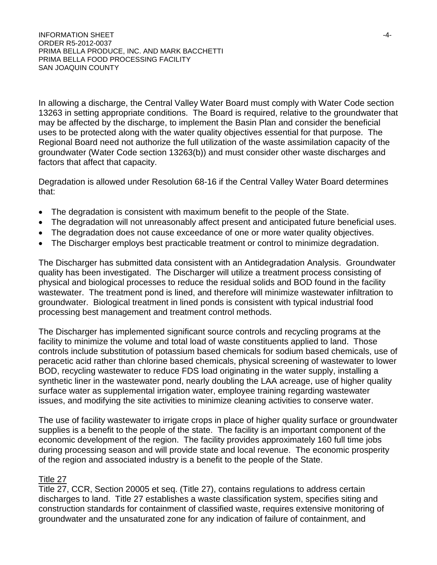In allowing a discharge, the Central Valley Water Board must comply with Water Code section 13263 in setting appropriate conditions. The Board is required, relative to the groundwater that may be affected by the discharge, to implement the Basin Plan and consider the beneficial uses to be protected along with the water quality objectives essential for that purpose. The Regional Board need not authorize the full utilization of the waste assimilation capacity of the groundwater (Water Code section 13263(b)) and must consider other waste discharges and factors that affect that capacity.

Degradation is allowed under Resolution 68-16 if the Central Valley Water Board determines that:

- The degradation is consistent with maximum benefit to the people of the State.
- The degradation will not unreasonably affect present and anticipated future beneficial uses.
- The degradation does not cause exceedance of one or more water quality objectives.
- The Discharger employs best practicable treatment or control to minimize degradation.

The Discharger has submitted data consistent with an Antidegradation Analysis. Groundwater quality has been investigated. The Discharger will utilize a treatment process consisting of physical and biological processes to reduce the residual solids and BOD found in the facility wastewater. The treatment pond is lined, and therefore will minimize wastewater infiltration to groundwater. Biological treatment in lined ponds is consistent with typical industrial food processing best management and treatment control methods.

The Discharger has implemented significant source controls and recycling programs at the facility to minimize the volume and total load of waste constituents applied to land. Those controls include substitution of potassium based chemicals for sodium based chemicals, use of peracetic acid rather than chlorine based chemicals, physical screening of wastewater to lower BOD, recycling wastewater to reduce FDS load originating in the water supply, installing a synthetic liner in the wastewater pond, nearly doubling the LAA acreage, use of higher quality surface water as supplemental irrigation water, employee training regarding wastewater issues, and modifying the site activities to minimize cleaning activities to conserve water.

The use of facility wastewater to irrigate crops in place of higher quality surface or groundwater supplies is a benefit to the people of the state. The facility is an important component of the economic development of the region. The facility provides approximately 160 full time jobs during processing season and will provide state and local revenue. The economic prosperity of the region and associated industry is a benefit to the people of the State.

#### Title 27

Title 27, CCR, Section 20005 et seq. (Title 27), contains regulations to address certain discharges to land. Title 27 establishes a waste classification system, specifies siting and construction standards for containment of classified waste, requires extensive monitoring of groundwater and the unsaturated zone for any indication of failure of containment, and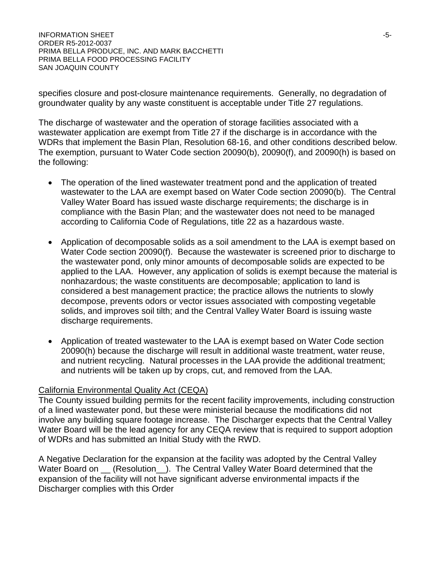specifies closure and post-closure maintenance requirements. Generally, no degradation of groundwater quality by any waste constituent is acceptable under Title 27 regulations.

The discharge of wastewater and the operation of storage facilities associated with a wastewater application are exempt from Title 27 if the discharge is in accordance with the WDRs that implement the Basin Plan, Resolution 68-16, and other conditions described below. The exemption, pursuant to Water Code section 20090(b), 20090(f), and 20090(h) is based on the following:

- The operation of the lined wastewater treatment pond and the application of treated wastewater to the LAA are exempt based on Water Code section 20090(b). The Central Valley Water Board has issued waste discharge requirements; the discharge is in compliance with the Basin Plan; and the wastewater does not need to be managed according to California Code of Regulations, title 22 as a hazardous waste.
- Application of decomposable solids as a soil amendment to the LAA is exempt based on Water Code section 20090(f). Because the wastewater is screened prior to discharge to the wastewater pond, only minor amounts of decomposable solids are expected to be applied to the LAA. However, any application of solids is exempt because the material is nonhazardous; the waste constituents are decomposable; application to land is considered a best management practice; the practice allows the nutrients to slowly decompose, prevents odors or vector issues associated with composting vegetable solids, and improves soil tilth; and the Central Valley Water Board is issuing waste discharge requirements.
- Application of treated wastewater to the LAA is exempt based on Water Code section 20090(h) because the discharge will result in additional waste treatment, water reuse, and nutrient recycling. Natural processes in the LAA provide the additional treatment; and nutrients will be taken up by crops, cut, and removed from the LAA.

### California Environmental Quality Act (CEQA)

The County issued building permits for the recent facility improvements, including construction of a lined wastewater pond, but these were ministerial because the modifications did not involve any building square footage increase. The Discharger expects that the Central Valley Water Board will be the lead agency for any CEQA review that is required to support adoption of WDRs and has submitted an Initial Study with the RWD.

A Negative Declaration for the expansion at the facility was adopted by the Central Valley Water Board on  $\_\_$  (Resolution  $\_\_$ ). The Central Valley Water Board determined that the expansion of the facility will not have significant adverse environmental impacts if the Discharger complies with this Order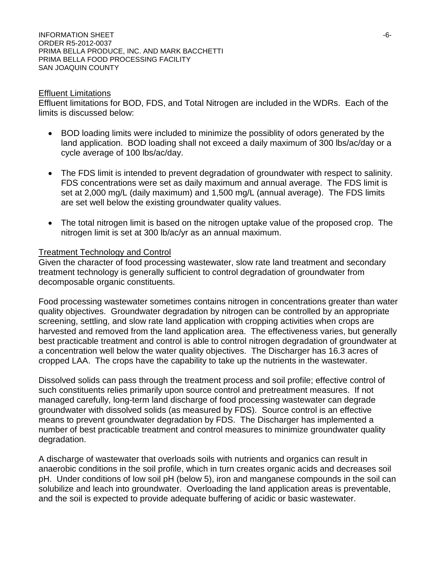INFORMATION SHEET  $-6$ -ORDER R5-2012-0037 PRIMA BELLA PRODUCE, INC. AND MARK BACCHETTI PRIMA BELLA FOOD PROCESSING FACILITY SAN JOAQUIN COUNTY

#### Effluent Limitations

Effluent limitations for BOD, FDS, and Total Nitrogen are included in the WDRs. Each of the limits is discussed below:

- BOD loading limits were included to minimize the possiblity of odors generated by the land application. BOD loading shall not exceed a daily maximum of 300 lbs/ac/day or a cycle average of 100 lbs/ac/day.
- The FDS limit is intended to prevent degradation of groundwater with respect to salinity. FDS concentrations were set as daily maximum and annual average. The FDS limit is set at 2,000 mg/L (daily maximum) and 1,500 mg/L (annual average). The FDS limits are set well below the existing groundwater quality values.
- The total nitrogen limit is based on the nitrogen uptake value of the proposed crop. The nitrogen limit is set at 300 lb/ac/yr as an annual maximum.

#### Treatment Technology and Control

Given the character of food processing wastewater, slow rate land treatment and secondary treatment technology is generally sufficient to control degradation of groundwater from decomposable organic constituents.

Food processing wastewater sometimes contains nitrogen in concentrations greater than water quality objectives. Groundwater degradation by nitrogen can be controlled by an appropriate screening, settling, and slow rate land application with cropping activities when crops are harvested and removed from the land application area. The effectiveness varies, but generally best practicable treatment and control is able to control nitrogen degradation of groundwater at a concentration well below the water quality objectives. The Discharger has 16.3 acres of cropped LAA. The crops have the capability to take up the nutrients in the wastewater.

Dissolved solids can pass through the treatment process and soil profile; effective control of such constituents relies primarily upon source control and pretreatment measures. If not managed carefully, long-term land discharge of food processing wastewater can degrade groundwater with dissolved solids (as measured by FDS). Source control is an effective means to prevent groundwater degradation by FDS. The Discharger has implemented a number of best practicable treatment and control measures to minimize groundwater quality degradation.

A discharge of wastewater that overloads soils with nutrients and organics can result in anaerobic conditions in the soil profile, which in turn creates organic acids and decreases soil pH. Under conditions of low soil pH (below 5), iron and manganese compounds in the soil can solubilize and leach into groundwater. Overloading the land application areas is preventable, and the soil is expected to provide adequate buffering of acidic or basic wastewater.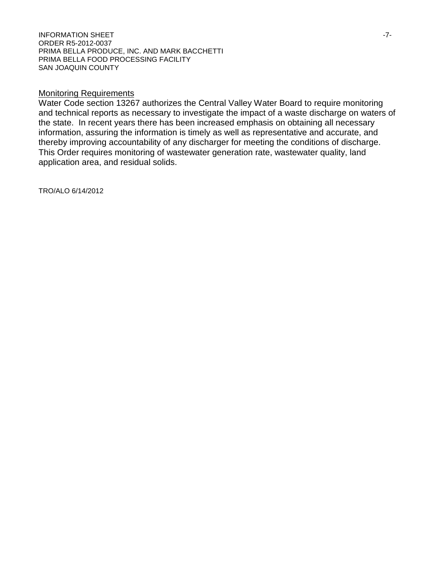#### **INFORMATION SHEET**  $-7$ -ORDER R5-2012-0037 PRIMA BELLA PRODUCE, INC. AND MARK BACCHETTI PRIMA BELLA FOOD PROCESSING FACILITY SAN JOAQUIN COUNTY

#### Monitoring Requirements

Water Code section 13267 authorizes the Central Valley Water Board to require monitoring and technical reports as necessary to investigate the impact of a waste discharge on waters of the state. In recent years there has been increased emphasis on obtaining all necessary information, assuring the information is timely as well as representative and accurate, and thereby improving accountability of any discharger for meeting the conditions of discharge. This Order requires monitoring of wastewater generation rate, wastewater quality, land application area, and residual solids.

TRO/ALO 6/14/2012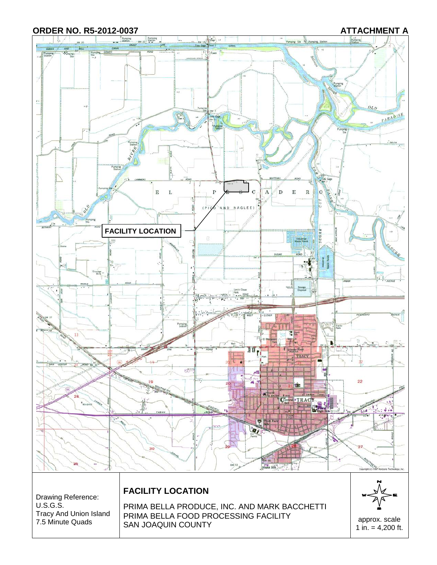#### **ORDER NO. R5-2012-0037 ATTACHMENT A**

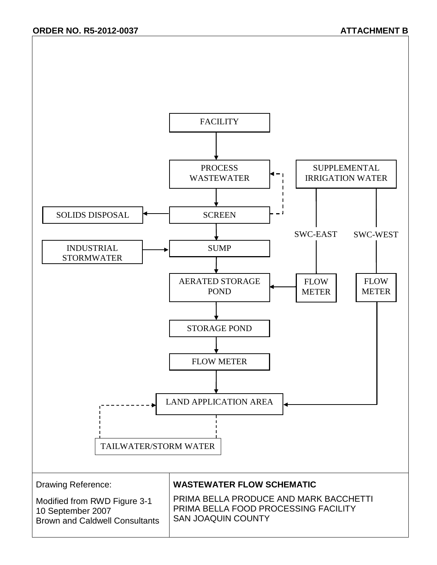